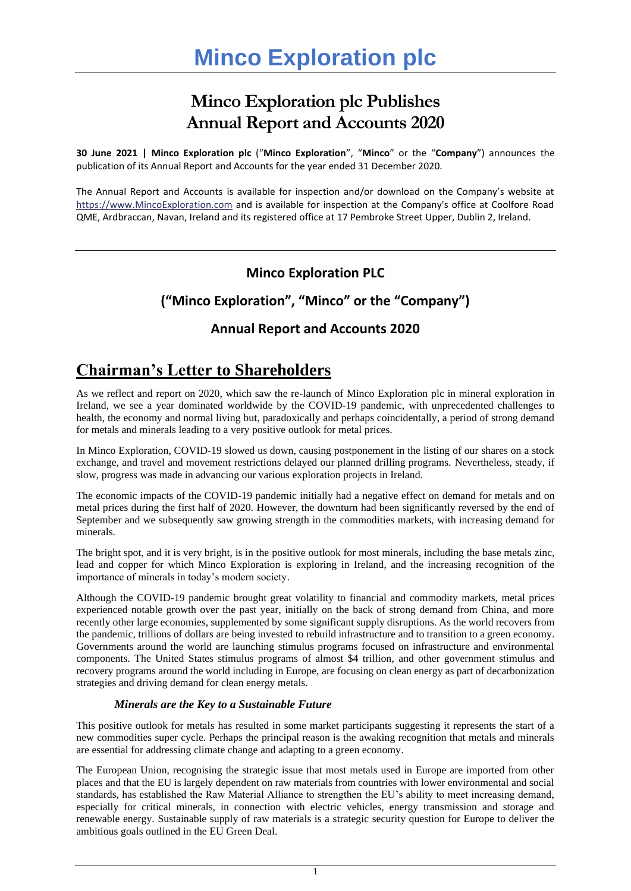# **Minco Exploration plc Publishes Annual Report and Accounts 2020**

**30 June 2021 | Minco Exploration plc** ("**Minco Exploration**", "**Minco**" or the "**Company**") announces the publication of its Annual Report and Accounts for the year ended 31 December 2020.

The Annual Report and Accounts is available for inspection and/or download on the Company's website at [https://www.MincoExploration.com](https://www.mincoexploration.com/) and is available for inspection at the Company's office at Coolfore Road QME, Ardbraccan, Navan, Ireland and its registered office at 17 Pembroke Street Upper, Dublin 2, Ireland.

# **Minco Exploration PLC**

# **("Minco Exploration", "Minco" or the "Company")**

# **Annual Report and Accounts 2020**

# **Chairman's Letter to Shareholders**

As we reflect and report on 2020, which saw the re-launch of Minco Exploration plc in mineral exploration in Ireland, we see a year dominated worldwide by the COVID-19 pandemic, with unprecedented challenges to health, the economy and normal living but, paradoxically and perhaps coincidentally, a period of strong demand for metals and minerals leading to a very positive outlook for metal prices.

In Minco Exploration, COVID-19 slowed us down, causing postponement in the listing of our shares on a stock exchange, and travel and movement restrictions delayed our planned drilling programs. Nevertheless, steady, if slow, progress was made in advancing our various exploration projects in Ireland.

The economic impacts of the COVID-19 pandemic initially had a negative effect on demand for metals and on metal prices during the first half of 2020. However, the downturn had been significantly reversed by the end of September and we subsequently saw growing strength in the commodities markets, with increasing demand for minerals.

The bright spot, and it is very bright, is in the positive outlook for most minerals, including the base metals zinc, lead and copper for which Minco Exploration is exploring in Ireland, and the increasing recognition of the importance of minerals in today's modern society.

Although the COVID-19 pandemic brought great volatility to financial and commodity markets, metal prices experienced notable growth over the past year, initially on the back of strong demand from China, and more recently other large economies, supplemented by some significant supply disruptions. As the world recovers from the pandemic, trillions of dollars are being invested to rebuild infrastructure and to transition to a green economy. Governments around the world are launching stimulus programs focused on infrastructure and environmental components. The United States stimulus programs of almost \$4 trillion, and other government stimulus and recovery programs around the world including in Europe, are focusing on clean energy as part of decarbonization strategies and driving demand for clean energy metals.

# *Minerals are the Key to a Sustainable Future*

This positive outlook for metals has resulted in some market participants suggesting it represents the start of a new commodities super cycle. Perhaps the principal reason is the awaking recognition that metals and minerals are essential for addressing climate change and adapting to a green economy.

The European Union, recognising the strategic issue that most metals used in Europe are imported from other places and that the EU is largely dependent on raw materials from countries with lower environmental and social standards, has established the Raw Material Alliance to strengthen the EU's ability to meet increasing demand, especially for critical minerals, in connection with electric vehicles, energy transmission and storage and renewable energy. Sustainable supply of raw materials is a strategic security question for Europe to deliver the ambitious goals outlined in the EU Green Deal.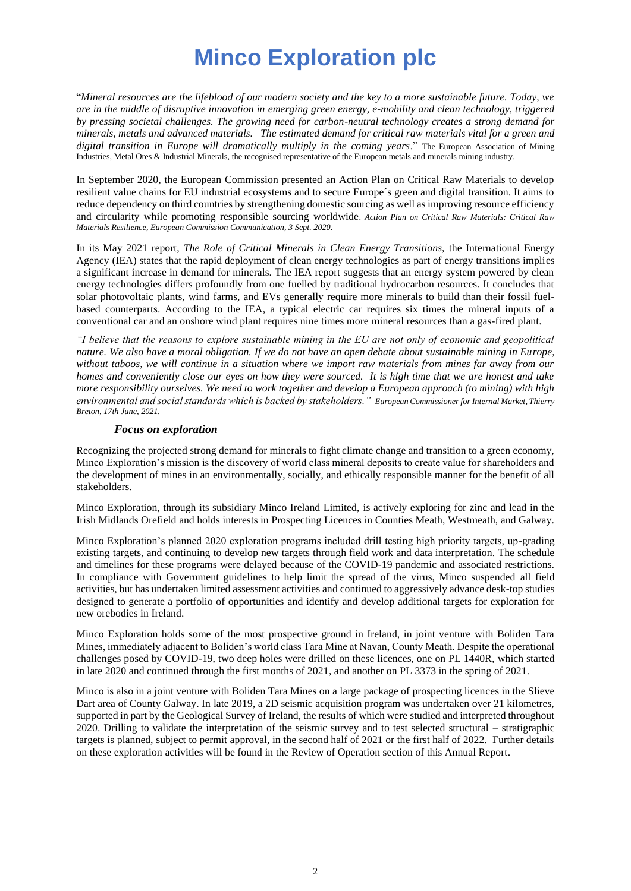# **Minco Exploration plc**

"*Mineral resources are the lifeblood of our modern society and the key to a more sustainable future. Today, we are in the middle of disruptive innovation in emerging green energy, e-mobility and clean technology, triggered by pressing societal challenges. The growing need for carbon-neutral technology creates a strong demand for minerals, metals and advanced materials. The estimated demand for critical raw materials vital for a green and digital transition in Europe will dramatically multiply in the coming years*." The European Association of Mining Industries, Metal Ores & Industrial Minerals, the recognised representative of the European metals and minerals mining industry.

In September 2020, the European Commission presented an Action Plan on Critical Raw Materials to develop resilient value chains for EU industrial ecosystems and to secure Europe´s green and digital transition. It aims to reduce dependency on third countries by strengthening domestic sourcing as well as improving resource efficiency and circularity while promoting responsible sourcing worldwide. *Action Plan on Critical Raw Materials: Critical Raw Materials Resilience, European Commission Communication, 3 Sept. 2020.*

In its May 2021 report, *The Role of Critical Minerals in Clean Energy Transitions,* the International Energy Agency (IEA) states that the rapid deployment of clean energy technologies as part of energy transitions implies a significant increase in demand for minerals. The IEA report suggests that an energy system powered by clean energy technologies differs profoundly from one fuelled by traditional hydrocarbon resources. It concludes that solar photovoltaic plants, wind farms, and EVs generally require more minerals to build than their fossil fuelbased counterparts. According to the IEA, a typical electric car requires six times the mineral inputs of a conventional car and an onshore wind plant requires nine times more mineral resources than a gas-fired plant.

*"I believe that the reasons to explore sustainable mining in the EU are not only of economic and geopolitical nature. We also have a moral obligation. If we do not have an open debate about sustainable mining in Europe, without taboos, we will continue in a situation where we import raw materials from mines far away from our homes and conveniently close our eyes on how they were sourced. It is high time that we are honest and take more responsibility ourselves. We need to work together and develop a European approach (to mining) with high environmental and social standards which is backed by stakeholders." European Commissioner for Internal Market, Thierry Breton, 17th June, 2021.*

#### *Focus on exploration*

Recognizing the projected strong demand for minerals to fight climate change and transition to a green economy, Minco Exploration's mission is the discovery of world class mineral deposits to create value for shareholders and the development of mines in an environmentally, socially, and ethically responsible manner for the benefit of all stakeholders.

Minco Exploration, through its subsidiary Minco Ireland Limited, is actively exploring for zinc and lead in the Irish Midlands Orefield and holds interests in Prospecting Licences in Counties Meath, Westmeath, and Galway.

Minco Exploration's planned 2020 exploration programs included drill testing high priority targets, up-grading existing targets, and continuing to develop new targets through field work and data interpretation. The schedule and timelines for these programs were delayed because of the COVID-19 pandemic and associated restrictions. In compliance with Government guidelines to help limit the spread of the virus, Minco suspended all field activities, but has undertaken limited assessment activities and continued to aggressively advance desk-top studies designed to generate a portfolio of opportunities and identify and develop additional targets for exploration for new orebodies in Ireland.

Minco Exploration holds some of the most prospective ground in Ireland, in joint venture with Boliden Tara Mines, immediately adjacent to Boliden's world class Tara Mine at Navan, County Meath. Despite the operational challenges posed by COVID-19, two deep holes were drilled on these licences, one on PL 1440R, which started in late 2020 and continued through the first months of 2021, and another on PL 3373 in the spring of 2021.

Minco is also in a joint venture with Boliden Tara Mines on a large package of prospecting licences in the Slieve Dart area of County Galway. In late 2019, a 2D seismic acquisition program was undertaken over 21 kilometres, supported in part by the Geological Survey of Ireland, the results of which were studied and interpreted throughout 2020. Drilling to validate the interpretation of the seismic survey and to test selected structural – stratigraphic targets is planned, subject to permit approval, in the second half of 2021 or the first half of 2022. Further details on these exploration activities will be found in the Review of Operation section of this Annual Report.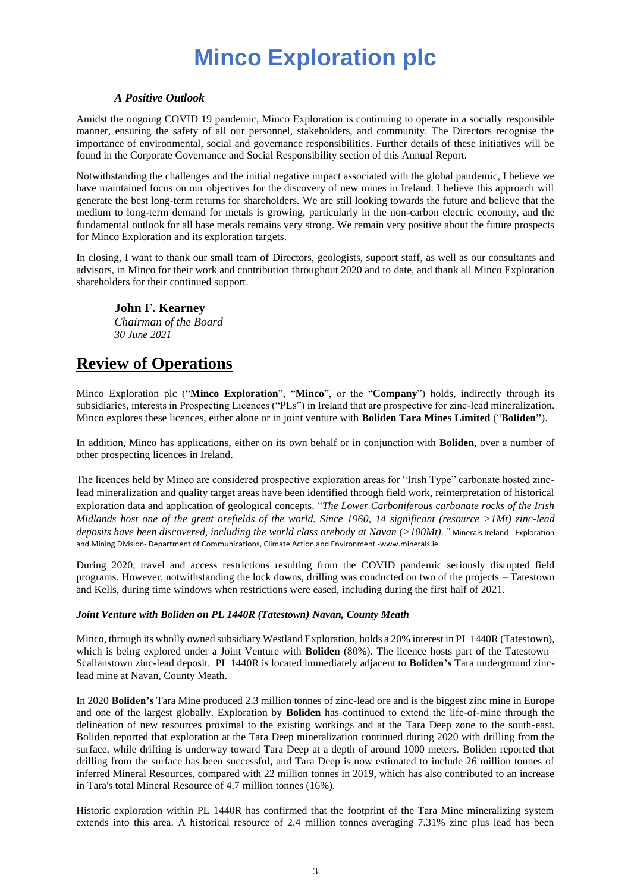# *A Positive Outlook*

Amidst the ongoing COVID 19 pandemic, Minco Exploration is continuing to operate in a socially responsible manner, ensuring the safety of all our personnel, stakeholders, and community. The Directors recognise the importance of environmental, social and governance responsibilities. Further details of these initiatives will be found in the Corporate Governance and Social Responsibility section of this Annual Report.

Notwithstanding the challenges and the initial negative impact associated with the global pandemic, I believe we have maintained focus on our objectives for the discovery of new mines in Ireland. I believe this approach will generate the best long-term returns for shareholders. We are still looking towards the future and believe that the medium to long-term demand for metals is growing, particularly in the non-carbon electric economy, and the fundamental outlook for all base metals remains very strong. We remain very positive about the future prospects for Minco Exploration and its exploration targets.

In closing, I want to thank our small team of Directors, geologists, support staff, as well as our consultants and advisors, in Minco for their work and contribution throughout 2020 and to date, and thank all Minco Exploration shareholders for their continued support.

# **John F. Kearney**

*Chairman of the Board 30 June 2021*

# **Review of Operations**

Minco Exploration plc ("**Minco Exploration**", "**Minco**", or the "**Company**") holds, indirectly through its subsidiaries, interests in Prospecting Licences ("PLs") in Ireland that are prospective for zinc-lead mineralization. Minco explores these licences, either alone or in joint venture with **Boliden Tara Mines Limited** ("**Boliden"**).

In addition, Minco has applications, either on its own behalf or in conjunction with **Boliden**, over a number of other prospecting licences in Ireland.

The licences held by Minco are considered prospective exploration areas for "Irish Type" carbonate hosted zinclead mineralization and quality target areas have been identified through field work, reinterpretation of historical exploration data and application of geological concepts. "*The Lower Carboniferous carbonate rocks of the Irish Midlands host one of the great orefields of the world. Since 1960, 14 significant (resource >1Mt) zinc-lead deposits have been discovered, including the world class orebody at Navan (>100Mt)."* Minerals Ireland - Exploration and Mining Division- Department of Communications, Climate Action and Environment -www.minerals.ie.

During 2020, travel and access restrictions resulting from the COVID pandemic seriously disrupted field programs. However, notwithstanding the lock downs, drilling was conducted on two of the projects – Tatestown and Kells, during time windows when restrictions were eased, including during the first half of 2021.

## *Joint Venture with Boliden on PL 1440R (Tatestown) Navan, County Meath*

Minco, through its wholly owned subsidiary Westland Exploration, holds a 20% interest in PL 1440R (Tatestown), which is being explored under a Joint Venture with **Boliden** (80%). The licence hosts part of the Tatestown– Scallanstown zinc-lead deposit. PL 1440R is located immediately adjacent to **Boliden's** Tara underground zinclead mine at Navan, County Meath.

In 2020 **Boliden's** Tara Mine produced 2.3 million tonnes of zinc-lead ore and is the biggest zinc mine in Europe and one of the largest globally. Exploration by **Boliden** has continued to extend the life-of-mine through the delineation of new resources proximal to the existing workings and at the Tara Deep zone to the south-east. Boliden reported that exploration at the Tara Deep mineralization continued during 2020 with drilling from the surface, while drifting is underway toward Tara Deep at a depth of around 1000 meters. Boliden reported that drilling from the surface has been successful, and Tara Deep is now estimated to include 26 million tonnes of inferred Mineral Resources, compared with 22 million tonnes in 2019, which has also contributed to an increase in Tara's total Mineral Resource of 4.7 million tonnes (16%).

Historic exploration within PL 1440R has confirmed that the footprint of the Tara Mine mineralizing system extends into this area. A historical resource of 2.4 million tonnes averaging 7.31% zinc plus lead has been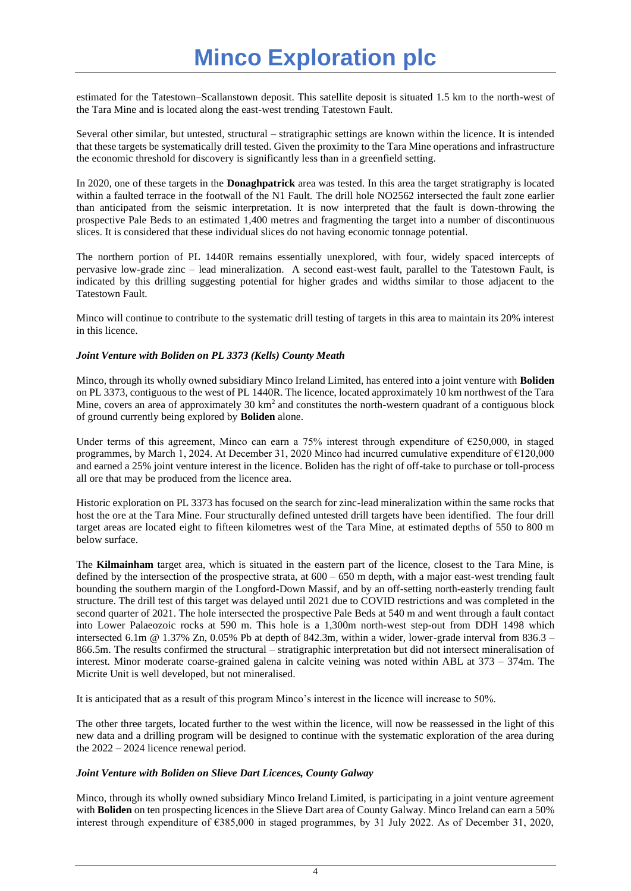estimated for the Tatestown–Scallanstown deposit. This satellite deposit is situated 1.5 km to the north-west of the Tara Mine and is located along the east-west trending Tatestown Fault.

Several other similar, but untested, structural – stratigraphic settings are known within the licence. It is intended that these targets be systematically drill tested. Given the proximity to the Tara Mine operations and infrastructure the economic threshold for discovery is significantly less than in a greenfield setting.

In 2020, one of these targets in the **Donaghpatrick** area was tested. In this area the target stratigraphy is located within a faulted terrace in the footwall of the N1 Fault. The drill hole NO2562 intersected the fault zone earlier than anticipated from the seismic interpretation. It is now interpreted that the fault is down-throwing the prospective Pale Beds to an estimated 1,400 metres and fragmenting the target into a number of discontinuous slices. It is considered that these individual slices do not having economic tonnage potential.

The northern portion of PL 1440R remains essentially unexplored, with four, widely spaced intercepts of pervasive low-grade zinc – lead mineralization. A second east-west fault, parallel to the Tatestown Fault, is indicated by this drilling suggesting potential for higher grades and widths similar to those adjacent to the Tatestown Fault.

Minco will continue to contribute to the systematic drill testing of targets in this area to maintain its 20% interest in this licence.

#### *Joint Venture with Boliden on PL 3373 (Kells) County Meath*

Minco, through its wholly owned subsidiary Minco Ireland Limited, has entered into a joint venture with **Boliden** on PL 3373, contiguous to the west of PL 1440R. The licence, located approximately 10 km northwest of the Tara Mine, covers an area of approximately  $30 \text{ km}^2$  and constitutes the north-western quadrant of a contiguous block of ground currently being explored by **Boliden** alone.

Under terms of this agreement, Minco can earn a 75% interest through expenditure of €250,000, in staged programmes, by March 1, 2024. At December 31, 2020 Minco had incurred cumulative expenditure of €120,000 and earned a 25% joint venture interest in the licence. Boliden has the right of off-take to purchase or toll-process all ore that may be produced from the licence area.

Historic exploration on PL 3373 has focused on the search for zinc-lead mineralization within the same rocks that host the ore at the Tara Mine. Four structurally defined untested drill targets have been identified. The four drill target areas are located eight to fifteen kilometres west of the Tara Mine, at estimated depths of 550 to 800 m below surface.

The **Kilmainham** target area, which is situated in the eastern part of the licence, closest to the Tara Mine, is defined by the intersection of the prospective strata, at  $600 - 650$  m depth, with a major east-west trending fault bounding the southern margin of the Longford-Down Massif, and by an off-setting north-easterly trending fault structure. The drill test of this target was delayed until 2021 due to COVID restrictions and was completed in the second quarter of 2021. The hole intersected the prospective Pale Beds at 540 m and went through a fault contact into Lower Palaeozoic rocks at 590 m. This hole is a 1,300m north-west step-out from DDH 1498 which intersected 6.1m @ 1.37% Zn, 0.05% Pb at depth of 842.3m, within a wider, lower-grade interval from 836.3 – 866.5m. The results confirmed the structural – stratigraphic interpretation but did not intersect mineralisation of interest. Minor moderate coarse-grained galena in calcite veining was noted within ABL at 373 – 374m. The Micrite Unit is well developed, but not mineralised.

It is anticipated that as a result of this program Minco's interest in the licence will increase to 50%.

The other three targets, located further to the west within the licence, will now be reassessed in the light of this new data and a drilling program will be designed to continue with the systematic exploration of the area during the 2022 – 2024 licence renewal period.

## *Joint Venture with Boliden on Slieve Dart Licences, County Galway*

Minco, through its wholly owned subsidiary Minco Ireland Limited, is participating in a joint venture agreement with **Boliden** on ten prospecting licences in the Slieve Dart area of County Galway. Minco Ireland can earn a 50% interest through expenditure of €385,000 in staged programmes, by 31 July 2022. As of December 31, 2020,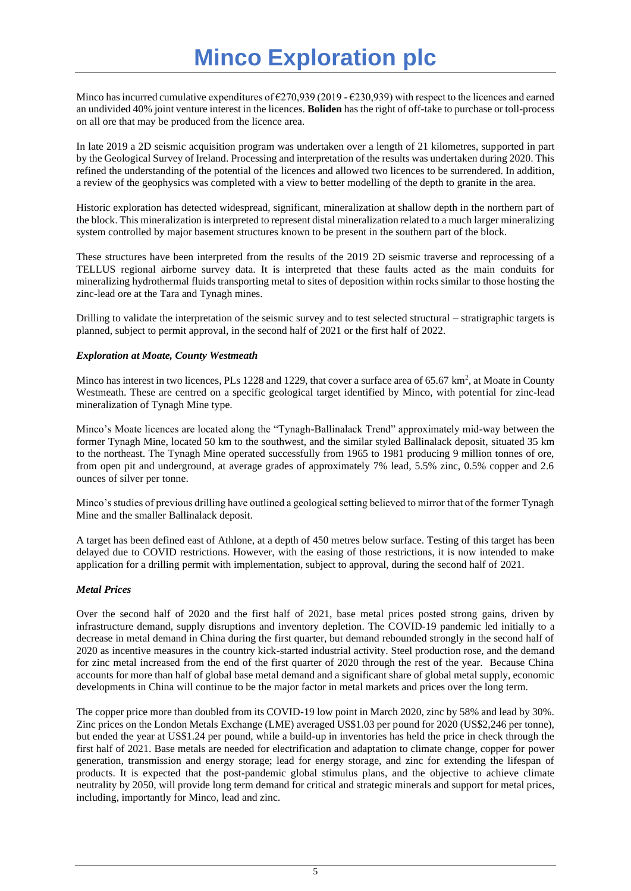Minco has incurred cumulative expenditures of  $\epsilon$ 270,939 (2019 -  $\epsilon$ 230,939) with respect to the licences and earned an undivided 40% joint venture interest in the licences. **Boliden** has the right of off-take to purchase or toll-process on all ore that may be produced from the licence area.

In late 2019 a 2D seismic acquisition program was undertaken over a length of 21 kilometres, supported in part by the Geological Survey of Ireland. Processing and interpretation of the results was undertaken during 2020. This refined the understanding of the potential of the licences and allowed two licences to be surrendered. In addition, a review of the geophysics was completed with a view to better modelling of the depth to granite in the area.

Historic exploration has detected widespread, significant, mineralization at shallow depth in the northern part of the block. This mineralization is interpreted to represent distal mineralization related to a much larger mineralizing system controlled by major basement structures known to be present in the southern part of the block.

These structures have been interpreted from the results of the 2019 2D seismic traverse and reprocessing of a TELLUS regional airborne survey data. It is interpreted that these faults acted as the main conduits for mineralizing hydrothermal fluids transporting metal to sites of deposition within rocks similar to those hosting the zinc-lead ore at the Tara and Tynagh mines.

Drilling to validate the interpretation of the seismic survey and to test selected structural – stratigraphic targets is planned, subject to permit approval, in the second half of 2021 or the first half of 2022.

#### *Exploration at Moate, County Westmeath*

Minco has interest in two licences, PLs 1228 and 1229, that cover a surface area of 65.67  $km^2$ , at Moate in County Westmeath. These are centred on a specific geological target identified by Minco, with potential for zinc-lead mineralization of Tynagh Mine type.

Minco's Moate licences are located along the "Tynagh-Ballinalack Trend" approximately mid-way between the former Tynagh Mine, located 50 km to the southwest, and the similar styled Ballinalack deposit, situated 35 km to the northeast. The Tynagh Mine operated successfully from 1965 to 1981 producing 9 million tonnes of ore, from open pit and underground, at average grades of approximately 7% lead, 5.5% zinc, 0.5% copper and 2.6 ounces of silver per tonne.

Minco's studies of previous drilling have outlined a geological setting believed to mirror that of the former Tynagh Mine and the smaller Ballinalack deposit.

A target has been defined east of Athlone, at a depth of 450 metres below surface. Testing of this target has been delayed due to COVID restrictions. However, with the easing of those restrictions, it is now intended to make application for a drilling permit with implementation, subject to approval, during the second half of 2021.

## *Metal Prices*

Over the second half of 2020 and the first half of 2021, base metal prices posted strong gains, driven by infrastructure demand, supply disruptions and inventory depletion. The COVID-19 pandemic led initially to a decrease in metal demand in China during the first quarter, but demand rebounded strongly in the second half of 2020 as incentive measures in the country kick-started industrial activity. Steel production rose, and the demand for zinc metal increased from the end of the first quarter of 2020 through the rest of the year. Because China accounts for more than half of global base metal demand and a significant share of global metal supply, economic developments in China will continue to be the major factor in metal markets and prices over the long term.

The copper price more than doubled from its COVID-19 low point in March 2020, zinc by 58% and lead by 30%. Zinc prices on the London Metals Exchange (LME) averaged US\$1.03 per pound for 2020 (US\$2,246 per tonne), but ended the year at US\$1.24 per pound, while a build-up in inventories has held the price in check through the first half of 2021. Base metals are needed for electrification and adaptation to climate change, copper for power generation, transmission and energy storage; lead for energy storage, and zinc for extending the lifespan of products. It is expected that the post-pandemic global stimulus plans, and the objective to achieve climate neutrality by 2050, will provide long term demand for critical and strategic minerals and support for metal prices, including, importantly for Minco, lead and zinc.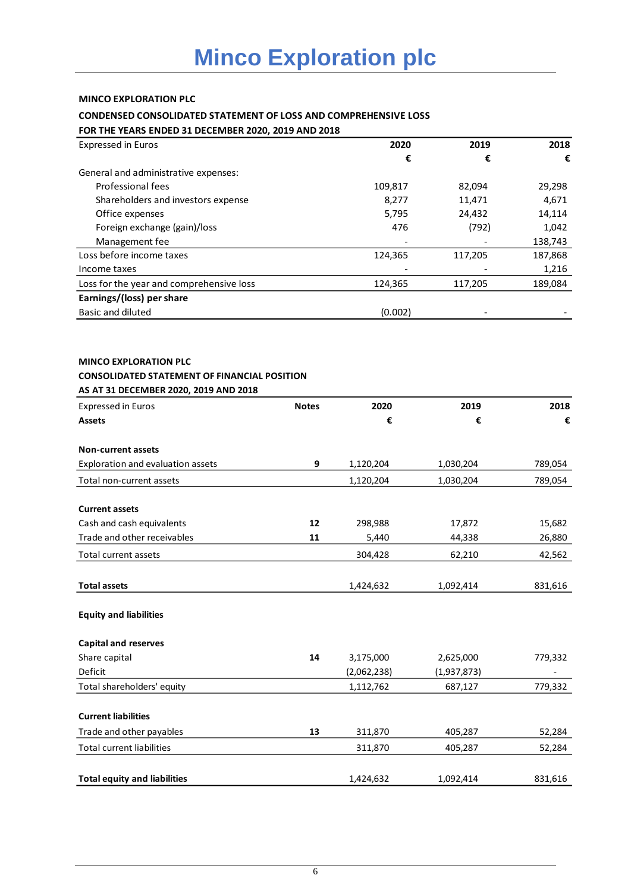## **MINCO EXPLORATION PLC**

# **CONDENSED CONSOLIDATED STATEMENT OF LOSS AND COMPREHENSIVE LOSS**

**FOR THE YEARS ENDED 31 DECEMBER 2020, 2019 AND 2018**

| <b>Expressed in Euros</b>                | 2020    | 2019    | 2018    |
|------------------------------------------|---------|---------|---------|
|                                          | €       | €       | €       |
| General and administrative expenses:     |         |         |         |
| Professional fees                        | 109,817 | 82,094  | 29,298  |
| Shareholders and investors expense       | 8,277   | 11,471  | 4,671   |
| Office expenses                          | 5,795   | 24,432  | 14,114  |
| Foreign exchange (gain)/loss             | 476     | (792)   | 1,042   |
| Management fee                           |         |         | 138,743 |
| Loss before income taxes                 | 124,365 | 117,205 | 187,868 |
| Income taxes                             |         |         | 1,216   |
| Loss for the year and comprehensive loss | 124,365 | 117,205 | 189,084 |
| Earnings/(loss) per share                |         |         |         |
| Basic and diluted                        | (0.002) |         |         |

# **MINCO EXPLORATION PLC**

# **CONSOLIDATED STATEMENT OF FINANCIAL POSITION**

| AS AT 31 DECEMBER 2020, 2019 AND 2018 |              |             |             |         |
|---------------------------------------|--------------|-------------|-------------|---------|
| <b>Expressed in Euros</b>             | <b>Notes</b> | 2020        | 2019        | 2018    |
| <b>Assets</b>                         |              | €           | €           | €       |
| <b>Non-current assets</b>             |              |             |             |         |
| Exploration and evaluation assets     | 9            | 1,120,204   | 1,030,204   | 789,054 |
| Total non-current assets              |              | 1,120,204   | 1,030,204   | 789,054 |
| <b>Current assets</b>                 |              |             |             |         |
| Cash and cash equivalents             | 12           | 298,988     | 17,872      | 15,682  |
| Trade and other receivables           | 11           | 5,440       | 44,338      | 26,880  |
| Total current assets                  |              | 304,428     | 62,210      | 42,562  |
| <b>Total assets</b>                   |              | 1,424,632   | 1,092,414   | 831,616 |
| <b>Equity and liabilities</b>         |              |             |             |         |
| <b>Capital and reserves</b>           |              |             |             |         |
| Share capital                         | 14           | 3,175,000   | 2,625,000   | 779,332 |
| Deficit                               |              | (2,062,238) | (1,937,873) |         |
| Total shareholders' equity            |              | 1,112,762   | 687,127     | 779,332 |
| <b>Current liabilities</b>            |              |             |             |         |
| Trade and other payables              | 13           | 311,870     | 405,287     | 52,284  |
| <b>Total current liabilities</b>      |              | 311,870     | 405,287     | 52,284  |
| <b>Total equity and liabilities</b>   |              | 1,424,632   | 1,092,414   | 831,616 |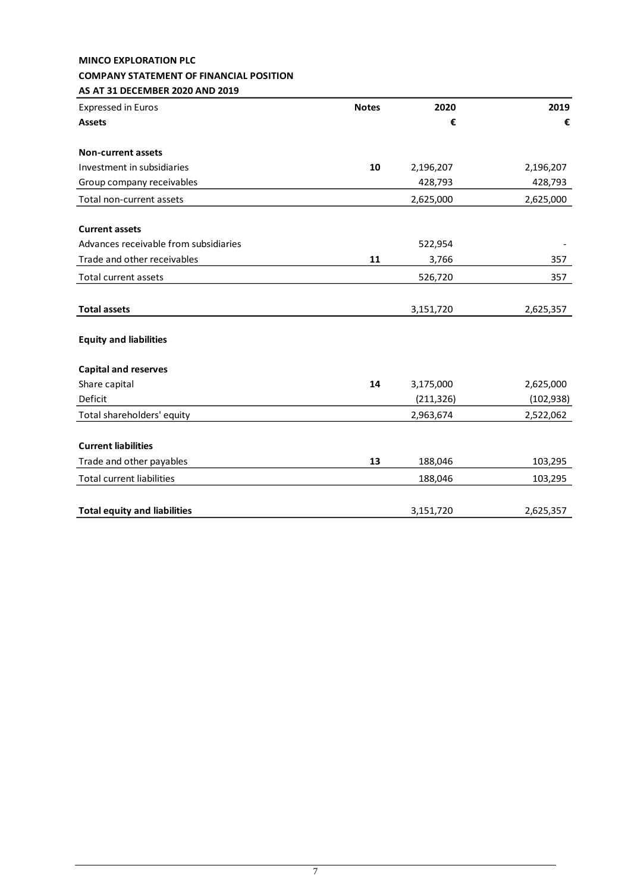#### **MINCO EXPLORATION PLC COMPANY STATEMENT OF FINANCIAL POSITION AS AT 31 DECEMBER 2020 AND 2019**

| <b>Expressed in Euros</b>             | <b>Notes</b> | 2020       | 2019       |
|---------------------------------------|--------------|------------|------------|
| <b>Assets</b>                         |              | €          | €          |
| <b>Non-current assets</b>             |              |            |            |
| Investment in subsidiaries            | 10           | 2,196,207  | 2,196,207  |
| Group company receivables             |              | 428,793    | 428,793    |
| Total non-current assets              |              | 2,625,000  | 2,625,000  |
| <b>Current assets</b>                 |              |            |            |
| Advances receivable from subsidiaries |              | 522,954    |            |
| Trade and other receivables           | 11           | 3,766      | 357        |
| <b>Total current assets</b>           |              | 526,720    | 357        |
| <b>Total assets</b>                   |              | 3,151,720  | 2,625,357  |
| <b>Equity and liabilities</b>         |              |            |            |
| <b>Capital and reserves</b>           |              |            |            |
| Share capital                         | 14           | 3,175,000  | 2,625,000  |
| Deficit                               |              | (211, 326) | (102, 938) |
| Total shareholders' equity            |              | 2,963,674  | 2,522,062  |
| <b>Current liabilities</b>            |              |            |            |
| Trade and other payables              | 13           | 188,046    | 103,295    |
| <b>Total current liabilities</b>      |              | 188,046    | 103,295    |
| <b>Total equity and liabilities</b>   |              | 3,151,720  | 2,625,357  |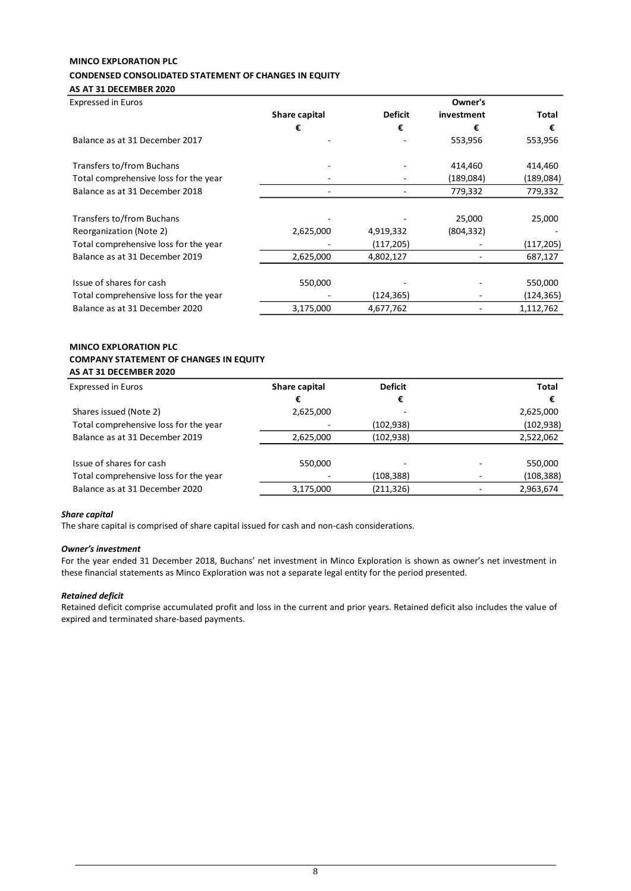# **MINCO EXPLORATION PLC CONDENSED CONSOLIDATED STATEMENT OF CHANGES IN EQUITY**

# **AS AT 31 DECEMBER 2020**

| <b>Expressed in Euros</b>             |               |                | Owner's    |            |
|---------------------------------------|---------------|----------------|------------|------------|
|                                       | Share capital | <b>Deficit</b> | investment | Total      |
|                                       | €             | €              | €          | €          |
| Balance as at 31 December 2017        |               |                | 553,956    | 553,956    |
| Transfers to/from Buchans             |               |                | 414,460    | 414,460    |
| Total comprehensive loss for the year |               |                | (189,084)  | (189,084)  |
| Balance as at 31 December 2018        |               |                | 779,332    | 779,332    |
| Transfers to/from Buchans             |               |                | 25,000     | 25,000     |
| Reorganization (Note 2)               | 2,625,000     | 4,919,332      | (804, 332) |            |
| Total comprehensive loss for the year |               | (117, 205)     |            | (117, 205) |
| Balance as at 31 December 2019        | 2,625,000     | 4,802,127      |            | 687,127    |
| Issue of shares for cash              | 550,000       |                |            | 550,000    |
| Total comprehensive loss for the year |               | (124,365)      |            | (124, 365) |
| Balance as at 31 December 2020        | 3,175,000     | 4,677,762      |            | 1,112,762  |

#### **MINCO EXPLORATION PLC COMPANY STATEMENT OF CHANGES IN EQUITY AS AT 31 DECEMBER 2020**

| <b>Expressed in Euros</b>             | Share capital | <b>Deficit</b> | <b>Total</b> |
|---------------------------------------|---------------|----------------|--------------|
|                                       | €             | €              | €            |
| Shares issued (Note 2)                | 2,625,000     |                | 2,625,000    |
| Total comprehensive loss for the year |               | (102, 938)     | (102, 938)   |
| Balance as at 31 December 2019        | 2,625,000     | (102, 938)     | 2,522,062    |
| Issue of shares for cash              | 550,000       |                | 550,000      |
| Total comprehensive loss for the year |               | (108,388)      | (108, 388)   |
| Balance as at 31 December 2020        | 3,175,000     | (211, 326)     | 2,963,674    |

#### *Share capital*

The share capital is comprised of share capital issued for cash and non-cash considerations.

#### *Owner's investment*

For the year ended 31 December 2018, Buchans' net investment in Minco Exploration is shown as owner's net investment in these financial statements as Minco Exploration was not a separate legal entity for the period presented.

#### *Retained deficit*

Retained deficit comprise accumulated profit and loss in the current and prior years. Retained deficit also includes the value of expired and terminated share-based payments.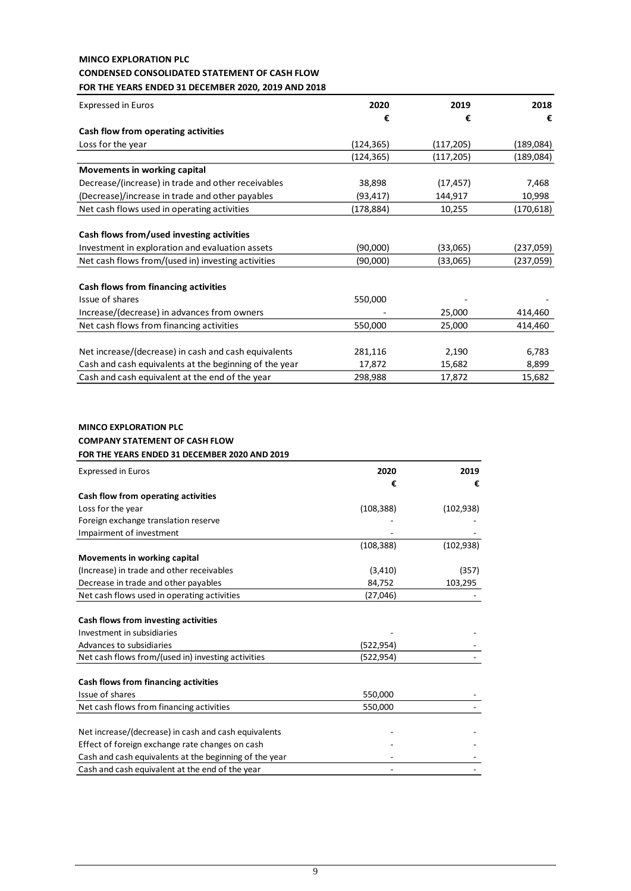# **MINCO EXPLORATION PLC CONDENSED CONSOLIDATED STATEMENT OF CASH FLOW FOR THE YEARS ENDED 31 DECEMBER 2020, 2019 AND 2018**

| <b>Expressed in Euros</b>                              | 2020       | 2019       | 2018       |
|--------------------------------------------------------|------------|------------|------------|
|                                                        | €          | €          | €          |
| Cash flow from operating activities                    |            |            |            |
| Loss for the year                                      | (124,365)  | (117, 205) | (189,084)  |
|                                                        | (124, 365) | (117, 205) | (189,084)  |
| Movements in working capital                           |            |            |            |
| Decrease/(increase) in trade and other receivables     | 38,898     | (17, 457)  | 7,468      |
| (Decrease)/increase in trade and other payables        | (93, 417)  | 144,917    | 10,998     |
| Net cash flows used in operating activities            | (178, 884) | 10,255     | (170, 618) |
|                                                        |            |            |            |
| Cash flows from/used investing activities              |            |            |            |
| Investment in exploration and evaluation assets        | (90,000)   | (33,065)   | (237,059)  |
| Net cash flows from/(used in) investing activities     | (90,000)   | (33,065)   | (237,059)  |
| Cash flows from financing activities                   |            |            |            |
| Issue of shares                                        | 550,000    |            |            |
| Increase/(decrease) in advances from owners            |            | 25,000     | 414,460    |
| Net cash flows from financing activities               | 550,000    | 25,000     | 414,460    |
|                                                        |            |            |            |
| Net increase/(decrease) in cash and cash equivalents   | 281,116    | 2,190      | 6,783      |
| Cash and cash equivalents at the beginning of the year | 17,872     | 15,682     | 8,899      |
| Cash and cash equivalent at the end of the year        | 298,988    | 17,872     | 15,682     |

# **MINCO EXPLORATION PLC COMPANY STATEMENT OF CASH FLOW FOR THE YEARS ENDED 31 DECEMBER 2020 AND 2019**

| <b>Expressed in Euros</b>                              | 2020       | 2019       |
|--------------------------------------------------------|------------|------------|
|                                                        | €          | €          |
| Cash flow from operating activities                    |            |            |
| Loss for the year                                      | (108, 388) | (102, 938) |
| Foreign exchange translation reserve                   |            |            |
| Impairment of investment                               |            |            |
|                                                        | (108, 388) | (102, 938) |
| Movements in working capital                           |            |            |
| (Increase) in trade and other receivables              | (3, 410)   | (357)      |
| Decrease in trade and other payables                   | 84,752     | 103,295    |
| Net cash flows used in operating activities            | (27,046)   |            |
|                                                        |            |            |
| Cash flows from investing activities                   |            |            |
| Investment in subsidiaries                             |            |            |
| Advances to subsidiaries                               | (522,954)  |            |
| Net cash flows from/(used in) investing activities     | (522,954)  |            |
|                                                        |            |            |
| Cash flows from financing activities                   |            |            |
| Issue of shares                                        | 550,000    |            |
| Net cash flows from financing activities               | 550,000    |            |
|                                                        |            |            |
| Net increase/(decrease) in cash and cash equivalents   |            |            |
| Effect of foreign exchange rate changes on cash        |            |            |
| Cash and cash equivalents at the beginning of the year |            |            |
| Cash and cash equivalent at the end of the year        |            |            |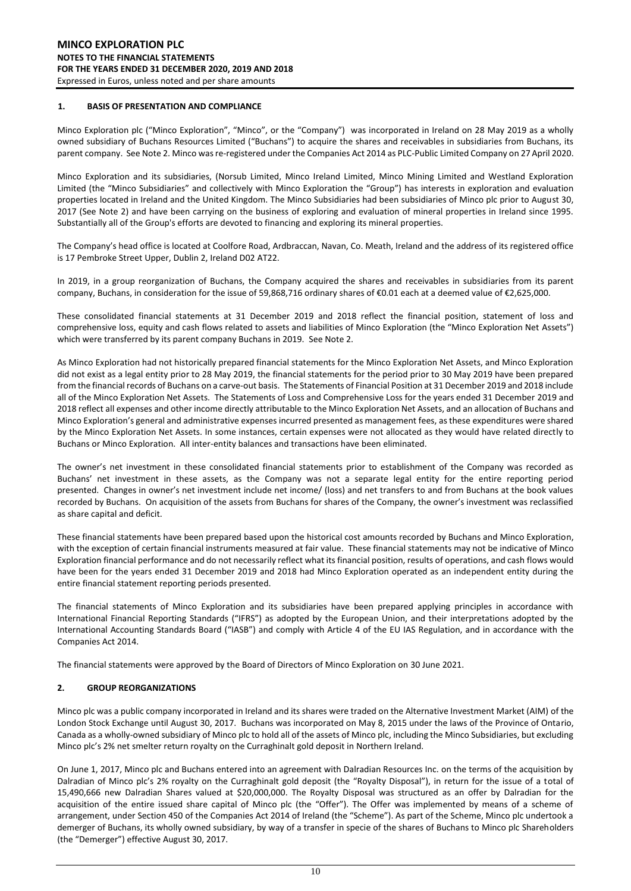#### **1. BASIS OF PRESENTATION AND COMPLIANCE**

Minco Exploration plc ("Minco Exploration", "Minco", or the "Company") was incorporated in Ireland on 28 May 2019 as a wholly owned subsidiary of Buchans Resources Limited ("Buchans") to acquire the shares and receivables in subsidiaries from Buchans, its parent company. See Note 2. Minco was re-registered under the Companies Act 2014 as PLC-Public Limited Company on 27 April 2020.

Minco Exploration and its subsidiaries, (Norsub Limited, Minco Ireland Limited, Minco Mining Limited and Westland Exploration Limited (the "Minco Subsidiaries" and collectively with Minco Exploration the "Group") has interests in exploration and evaluation properties located in Ireland and the United Kingdom. The Minco Subsidiaries had been subsidiaries of Minco plc prior to August 30, 2017 (See Note 2) and have been carrying on the business of exploring and evaluation of mineral properties in Ireland since 1995. Substantially all of the Group's efforts are devoted to financing and exploring its mineral properties.

The Company's head office is located at Coolfore Road, Ardbraccan, Navan, Co. Meath, Ireland and the address of its registered office is 17 Pembroke Street Upper, Dublin 2, Ireland D02 AT22.

In 2019, in a group reorganization of Buchans, the Company acquired the shares and receivables in subsidiaries from its parent company, Buchans, in consideration for the issue of 59,868,716 ordinary shares of €0.01 each at a deemed value of €2,625,000.

These consolidated financial statements at 31 December 2019 and 2018 reflect the financial position, statement of loss and comprehensive loss, equity and cash flows related to assets and liabilities of Minco Exploration (the "Minco Exploration Net Assets") which were transferred by its parent company Buchans in 2019. See Note 2.

As Minco Exploration had not historically prepared financial statements for the Minco Exploration Net Assets, and Minco Exploration did not exist as a legal entity prior to 28 May 2019, the financial statements for the period prior to 30 May 2019 have been prepared from the financial records of Buchans on a carve-out basis. The Statements of Financial Position at 31 December 2019 and 2018 include all of the Minco Exploration Net Assets. The Statements of Loss and Comprehensive Loss for the years ended 31 December 2019 and 2018 reflect all expenses and other income directly attributable to the Minco Exploration Net Assets, and an allocation of Buchans and Minco Exploration's general and administrative expenses incurred presented as management fees, as these expenditures were shared by the Minco Exploration Net Assets. In some instances, certain expenses were not allocated as they would have related directly to Buchans or Minco Exploration. All inter-entity balances and transactions have been eliminated.

The owner's net investment in these consolidated financial statements prior to establishment of the Company was recorded as Buchans' net investment in these assets, as the Company was not a separate legal entity for the entire reporting period presented. Changes in owner's net investment include net income/ (loss) and net transfers to and from Buchans at the book values recorded by Buchans. On acquisition of the assets from Buchans for shares of the Company, the owner's investment was reclassified as share capital and deficit.

These financial statements have been prepared based upon the historical cost amounts recorded by Buchans and Minco Exploration, with the exception of certain financial instruments measured at fair value. These financial statements may not be indicative of Minco Exploration financial performance and do not necessarily reflect what its financial position, results of operations, and cash flows would have been for the years ended 31 December 2019 and 2018 had Minco Exploration operated as an independent entity during the entire financial statement reporting periods presented.

The financial statements of Minco Exploration and its subsidiaries have been prepared applying principles in accordance with International Financial Reporting Standards ("IFRS") as adopted by the European Union, and their interpretations adopted by the International Accounting Standards Board ("IASB") and comply with Article 4 of the EU IAS Regulation, and in accordance with the Companies Act 2014.

The financial statements were approved by the Board of Directors of Minco Exploration on 30 June 2021.

#### **2. GROUP REORGANIZATIONS**

Minco plc was a public company incorporated in Ireland and its shares were traded on the Alternative Investment Market (AIM) of the London Stock Exchange until August 30, 2017. Buchans was incorporated on May 8, 2015 under the laws of the Province of Ontario, Canada as a wholly-owned subsidiary of Minco plc to hold all of the assets of Minco plc, including the Minco Subsidiaries, but excluding Minco plc's 2% net smelter return royalty on the Curraghinalt gold deposit in Northern Ireland.

On June 1, 2017, Minco plc and Buchans entered into an agreement with Dalradian Resources Inc. on the terms of the acquisition by Dalradian of Minco plc's 2% royalty on the Curraghinalt gold deposit (the "Royalty Disposal"), in return for the issue of a total of 15,490,666 new Dalradian Shares valued at \$20,000,000. The Royalty Disposal was structured as an offer by Dalradian for the acquisition of the entire issued share capital of Minco plc (the "Offer"). The Offer was implemented by means of a scheme of arrangement, under Section 450 of the Companies Act 2014 of Ireland (the "Scheme"). As part of the Scheme, Minco plc undertook a demerger of Buchans, its wholly owned subsidiary, by way of a transfer in specie of the shares of Buchans to Minco plc Shareholders (the "Demerger") effective August 30, 2017.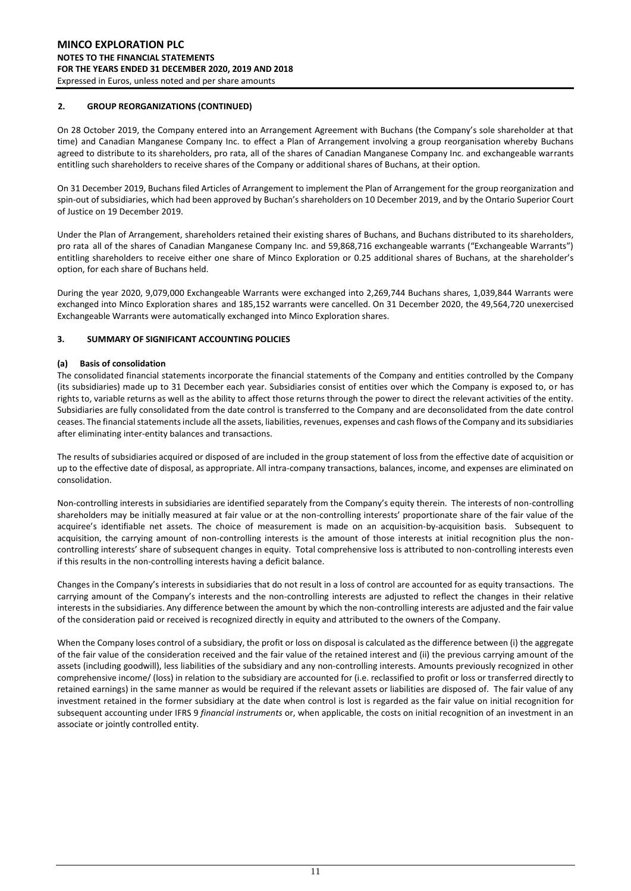#### **2. GROUP REORGANIZATIONS (CONTINUED)**

On 28 October 2019, the Company entered into an Arrangement Agreement with Buchans (the Company's sole shareholder at that time) and Canadian Manganese Company Inc. to effect a Plan of Arrangement involving a group reorganisation whereby Buchans agreed to distribute to its shareholders, pro rata, all of the shares of Canadian Manganese Company Inc. and exchangeable warrants entitling such shareholders to receive shares of the Company or additional shares of Buchans, at their option.

On 31 December 2019, Buchans filed Articles of Arrangement to implement the Plan of Arrangement for the group reorganization and spin-out of subsidiaries, which had been approved by Buchan's shareholders on 10 December 2019, and by the Ontario Superior Court of Justice on 19 December 2019.

Under the Plan of Arrangement, shareholders retained their existing shares of Buchans, and Buchans distributed to its shareholders, pro rata all of the shares of Canadian Manganese Company Inc. and 59,868,716 exchangeable warrants ("Exchangeable Warrants") entitling shareholders to receive either one share of Minco Exploration or 0.25 additional shares of Buchans, at the shareholder's option, for each share of Buchans held.

During the year 2020, 9,079,000 Exchangeable Warrants were exchanged into 2,269,744 Buchans shares, 1,039,844 Warrants were exchanged into Minco Exploration shares and 185,152 warrants were cancelled. On 31 December 2020, the 49,564,720 unexercised Exchangeable Warrants were automatically exchanged into Minco Exploration shares.

#### **3. SUMMARY OF SIGNIFICANT ACCOUNTING POLICIES**

#### **(a) Basis of consolidation**

The consolidated financial statements incorporate the financial statements of the Company and entities controlled by the Company (its subsidiaries) made up to 31 December each year. Subsidiaries consist of entities over which the Company is exposed to, or has rights to, variable returns as well as the ability to affect those returns through the power to direct the relevant activities of the entity. Subsidiaries are fully consolidated from the date control is transferred to the Company and are deconsolidated from the date control ceases. The financial statements include all the assets, liabilities, revenues, expenses and cash flows of the Company and its subsidiaries after eliminating inter-entity balances and transactions.

The results of subsidiaries acquired or disposed of are included in the group statement of loss from the effective date of acquisition or up to the effective date of disposal, as appropriate. All intra-company transactions, balances, income, and expenses are eliminated on consolidation.

Non-controlling interests in subsidiaries are identified separately from the Company's equity therein. The interests of non-controlling shareholders may be initially measured at fair value or at the non-controlling interests' proportionate share of the fair value of the acquiree's identifiable net assets. The choice of measurement is made on an acquisition-by-acquisition basis. Subsequent to acquisition, the carrying amount of non-controlling interests is the amount of those interests at initial recognition plus the noncontrolling interests' share of subsequent changes in equity. Total comprehensive loss is attributed to non-controlling interests even if this results in the non-controlling interests having a deficit balance.

Changes in the Company's interests in subsidiaries that do not result in a loss of control are accounted for as equity transactions. The carrying amount of the Company's interests and the non-controlling interests are adjusted to reflect the changes in their relative interests in the subsidiaries. Any difference between the amount by which the non-controlling interests are adjusted and the fair value of the consideration paid or received is recognized directly in equity and attributed to the owners of the Company.

When the Company loses control of a subsidiary, the profit or loss on disposal is calculated as the difference between (i) the aggregate of the fair value of the consideration received and the fair value of the retained interest and (ii) the previous carrying amount of the assets (including goodwill), less liabilities of the subsidiary and any non-controlling interests. Amounts previously recognized in other comprehensive income/ (loss) in relation to the subsidiary are accounted for (i.e. reclassified to profit or loss or transferred directly to retained earnings) in the same manner as would be required if the relevant assets or liabilities are disposed of. The fair value of any investment retained in the former subsidiary at the date when control is lost is regarded as the fair value on initial recognition for subsequent accounting under IFRS 9 *financial instruments* or, when applicable, the costs on initial recognition of an investment in an associate or jointly controlled entity.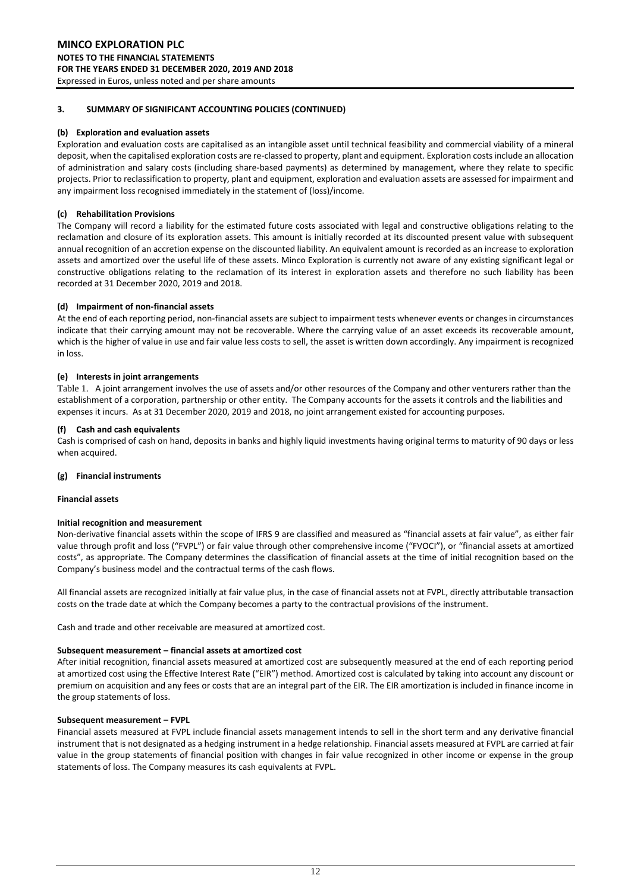#### **(b) Exploration and evaluation assets**

Exploration and evaluation costs are capitalised as an intangible asset until technical feasibility and commercial viability of a mineral deposit, when the capitalised exploration costs are re-classed to property, plant and equipment. Exploration costs include an allocation of administration and salary costs (including share-based payments) as determined by management, where they relate to specific projects. Prior to reclassification to property, plant and equipment, exploration and evaluation assets are assessed for impairment and any impairment loss recognised immediately in the statement of (loss)/income.

#### **(c) Rehabilitation Provisions**

The Company will record a liability for the estimated future costs associated with legal and constructive obligations relating to the reclamation and closure of its exploration assets. This amount is initially recorded at its discounted present value with subsequent annual recognition of an accretion expense on the discounted liability. An equivalent amount is recorded as an increase to exploration assets and amortized over the useful life of these assets. Minco Exploration is currently not aware of any existing significant legal or constructive obligations relating to the reclamation of its interest in exploration assets and therefore no such liability has been recorded at 31 December 2020, 2019 and 2018.

#### **(d) Impairment of non-financial assets**

At the end of each reporting period, non-financial assets are subject to impairment tests whenever events or changes in circumstances indicate that their carrying amount may not be recoverable. Where the carrying value of an asset exceeds its recoverable amount, which is the higher of value in use and fair value less costs to sell, the asset is written down accordingly. Any impairment is recognized in loss.

#### **(e) Interests in joint arrangements**

Table 1. A joint arrangement involves the use of assets and/or other resources of the Company and other venturers rather than the establishment of a corporation, partnership or other entity. The Company accounts for the assets it controls and the liabilities and expenses it incurs. As at 31 December 2020, 2019 and 2018, no joint arrangement existed for accounting purposes.

#### **(f) Cash and cash equivalents**

Cash is comprised of cash on hand, deposits in banks and highly liquid investments having original terms to maturity of 90 days or less when acquired.

#### **(g) Financial instruments**

#### **Financial assets**

#### **Initial recognition and measurement**

Non-derivative financial assets within the scope of IFRS 9 are classified and measured as "financial assets at fair value", as either fair value through profit and loss ("FVPL") or fair value through other comprehensive income ("FVOCI"), or "financial assets at amortized costs", as appropriate. The Company determines the classification of financial assets at the time of initial recognition based on the Company's business model and the contractual terms of the cash flows.

All financial assets are recognized initially at fair value plus, in the case of financial assets not at FVPL, directly attributable transaction costs on the trade date at which the Company becomes a party to the contractual provisions of the instrument.

Cash and trade and other receivable are measured at amortized cost.

#### **Subsequent measurement – financial assets at amortized cost**

After initial recognition, financial assets measured at amortized cost are subsequently measured at the end of each reporting period at amortized cost using the Effective Interest Rate ("EIR") method. Amortized cost is calculated by taking into account any discount or premium on acquisition and any fees or costs that are an integral part of the EIR. The EIR amortization is included in finance income in the group statements of loss.

#### **Subsequent measurement – FVPL**

Financial assets measured at FVPL include financial assets management intends to sell in the short term and any derivative financial instrument that is not designated as a hedging instrument in a hedge relationship. Financial assets measured at FVPL are carried at fair value in the group statements of financial position with changes in fair value recognized in other income or expense in the group statements of loss. The Company measures its cash equivalents at FVPL.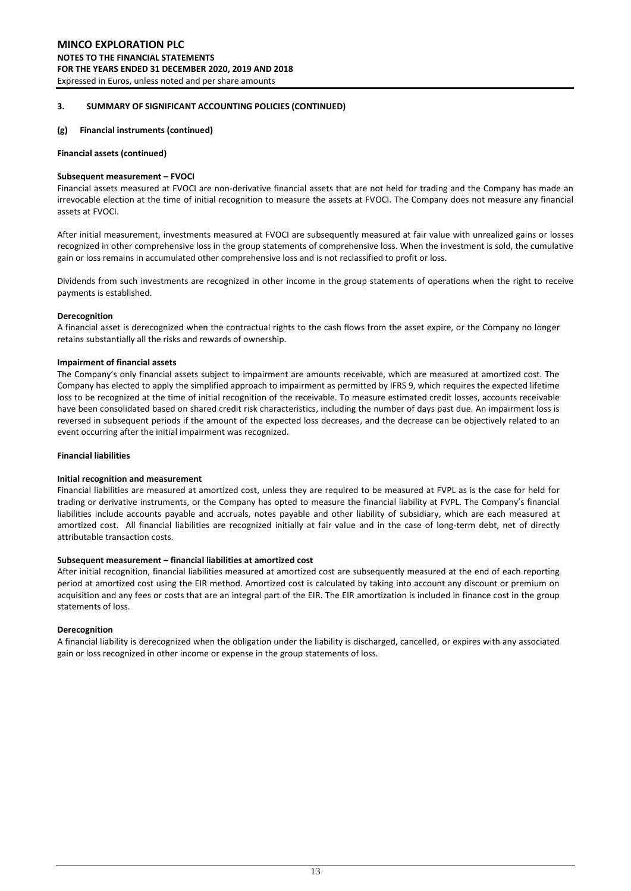#### **MINCO EXPLORATION PLC NOTES TO THE FINANCIAL STATEMENTS FOR THE YEARS ENDED 31 DECEMBER 2020, 2019 AND 2018** Expressed in Euros, unless noted and per share amounts

#### **3. SUMMARY OF SIGNIFICANT ACCOUNTING POLICIES (CONTINUED)**

#### **(g) Financial instruments (continued)**

#### **Financial assets (continued)**

#### **Subsequent measurement – FVOCI**

Financial assets measured at FVOCI are non-derivative financial assets that are not held for trading and the Company has made an irrevocable election at the time of initial recognition to measure the assets at FVOCI. The Company does not measure any financial assets at FVOCI.

After initial measurement, investments measured at FVOCI are subsequently measured at fair value with unrealized gains or losses recognized in other comprehensive loss in the group statements of comprehensive loss. When the investment is sold, the cumulative gain or loss remains in accumulated other comprehensive loss and is not reclassified to profit or loss.

Dividends from such investments are recognized in other income in the group statements of operations when the right to receive payments is established.

#### **Derecognition**

A financial asset is derecognized when the contractual rights to the cash flows from the asset expire, or the Company no longer retains substantially all the risks and rewards of ownership.

#### **Impairment of financial assets**

The Company's only financial assets subject to impairment are amounts receivable, which are measured at amortized cost. The Company has elected to apply the simplified approach to impairment as permitted by IFRS 9, which requires the expected lifetime loss to be recognized at the time of initial recognition of the receivable. To measure estimated credit losses, accounts receivable have been consolidated based on shared credit risk characteristics, including the number of days past due. An impairment loss is reversed in subsequent periods if the amount of the expected loss decreases, and the decrease can be objectively related to an event occurring after the initial impairment was recognized.

#### **Financial liabilities**

#### **Initial recognition and measurement**

Financial liabilities are measured at amortized cost, unless they are required to be measured at FVPL as is the case for held for trading or derivative instruments, or the Company has opted to measure the financial liability at FVPL. The Company's financial liabilities include accounts payable and accruals, notes payable and other liability of subsidiary, which are each measured at amortized cost. All financial liabilities are recognized initially at fair value and in the case of long-term debt, net of directly attributable transaction costs.

#### **Subsequent measurement – financial liabilities at amortized cost**

After initial recognition, financial liabilities measured at amortized cost are subsequently measured at the end of each reporting period at amortized cost using the EIR method. Amortized cost is calculated by taking into account any discount or premium on acquisition and any fees or costs that are an integral part of the EIR. The EIR amortization is included in finance cost in the group statements of loss.

#### **Derecognition**

A financial liability is derecognized when the obligation under the liability is discharged, cancelled, or expires with any associated gain or loss recognized in other income or expense in the group statements of loss.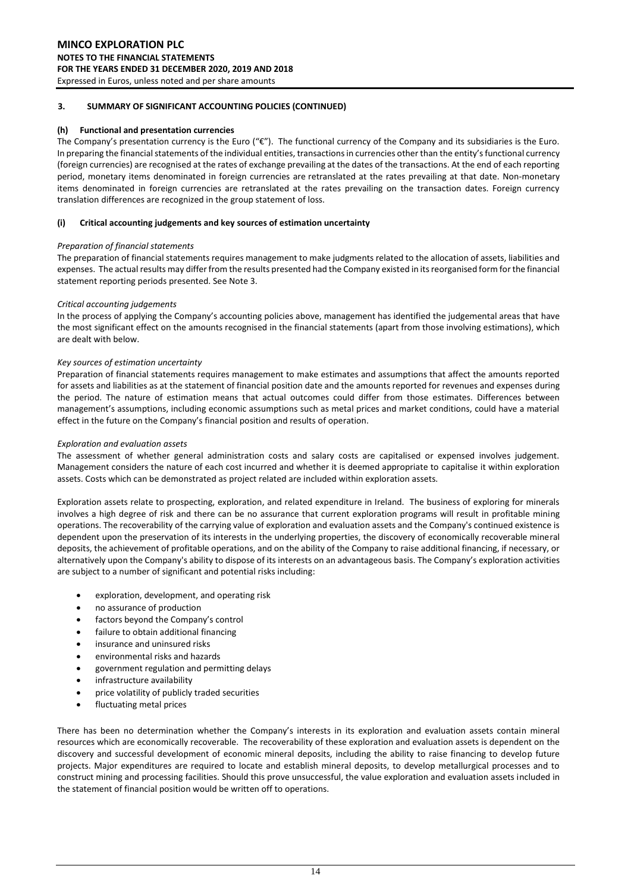#### **(h) Functional and presentation currencies**

The Company's presentation currency is the Euro  $(\mathscr{C})$ . The functional currency of the Company and its subsidiaries is the Euro. In preparing the financial statements of the individual entities, transactions in currencies other than the entity's functional currency (foreign currencies) are recognised at the rates of exchange prevailing at the dates of the transactions. At the end of each reporting period, monetary items denominated in foreign currencies are retranslated at the rates prevailing at that date. Non-monetary items denominated in foreign currencies are retranslated at the rates prevailing on the transaction dates. Foreign currency translation differences are recognized in the group statement of loss.

#### **(i) Critical accounting judgements and key sources of estimation uncertainty**

#### *Preparation of financial statements*

The preparation of financial statements requires management to make judgments related to the allocation of assets, liabilities and expenses. The actual results may differ from the results presented had the Company existed in its reorganised form for the financial statement reporting periods presented. See Note 3.

#### *Critical accounting judgements*

In the process of applying the Company's accounting policies above, management has identified the judgemental areas that have the most significant effect on the amounts recognised in the financial statements (apart from those involving estimations), which are dealt with below.

#### *Key sources of estimation uncertainty*

Preparation of financial statements requires management to make estimates and assumptions that affect the amounts reported for assets and liabilities as at the statement of financial position date and the amounts reported for revenues and expenses during the period. The nature of estimation means that actual outcomes could differ from those estimates. Differences between management's assumptions, including economic assumptions such as metal prices and market conditions, could have a material effect in the future on the Company's financial position and results of operation.

#### *Exploration and evaluation assets*

The assessment of whether general administration costs and salary costs are capitalised or expensed involves judgement. Management considers the nature of each cost incurred and whether it is deemed appropriate to capitalise it within exploration assets. Costs which can be demonstrated as project related are included within exploration assets.

Exploration assets relate to prospecting, exploration, and related expenditure in Ireland. The business of exploring for minerals involves a high degree of risk and there can be no assurance that current exploration programs will result in profitable mining operations. The recoverability of the carrying value of exploration and evaluation assets and the Company's continued existence is dependent upon the preservation of its interests in the underlying properties, the discovery of economically recoverable mineral deposits, the achievement of profitable operations, and on the ability of the Company to raise additional financing, if necessary, or alternatively upon the Company's ability to dispose of its interests on an advantageous basis. The Company's exploration activities are subject to a number of significant and potential risks including:

- exploration, development, and operating risk
- no assurance of production
- factors beyond the Company's control
- failure to obtain additional financing
- insurance and uninsured risks
- environmental risks and hazards
- government regulation and permitting delays
- infrastructure availability
- price volatility of publicly traded securities
- fluctuating metal prices

There has been no determination whether the Company's interests in its exploration and evaluation assets contain mineral resources which are economically recoverable. The recoverability of these exploration and evaluation assets is dependent on the discovery and successful development of economic mineral deposits, including the ability to raise financing to develop future projects. Major expenditures are required to locate and establish mineral deposits, to develop metallurgical processes and to construct mining and processing facilities. Should this prove unsuccessful, the value exploration and evaluation assets included in the statement of financial position would be written off to operations.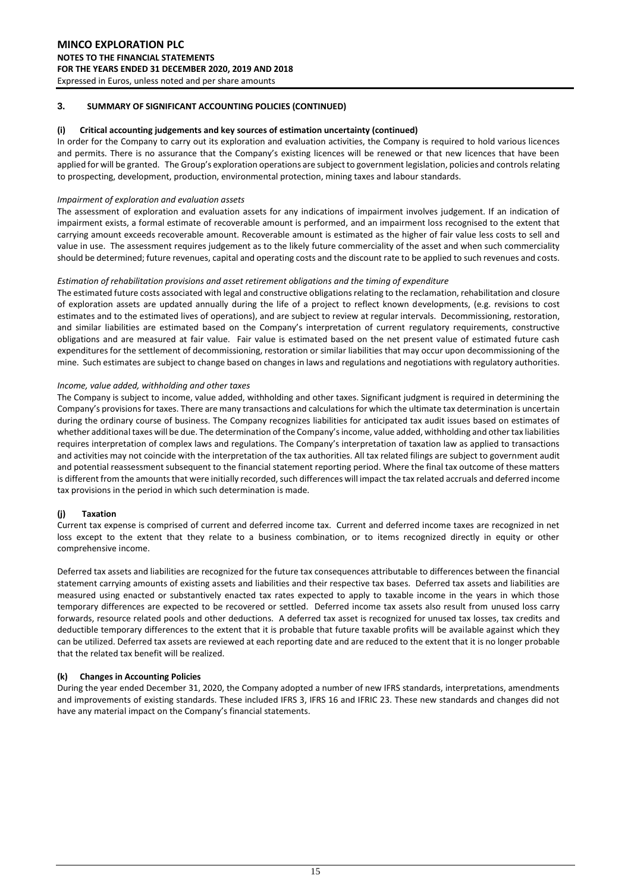#### **(i) Critical accounting judgements and key sources of estimation uncertainty (continued)**

In order for the Company to carry out its exploration and evaluation activities, the Company is required to hold various licences and permits. There is no assurance that the Company's existing licences will be renewed or that new licences that have been applied for will be granted. The Group's exploration operations are subject to government legislation, policies and controls relating to prospecting, development, production, environmental protection, mining taxes and labour standards.

#### *Impairment of exploration and evaluation assets*

The assessment of exploration and evaluation assets for any indications of impairment involves judgement. If an indication of impairment exists, a formal estimate of recoverable amount is performed, and an impairment loss recognised to the extent that carrying amount exceeds recoverable amount. Recoverable amount is estimated as the higher of fair value less costs to sell and value in use. The assessment requires judgement as to the likely future commerciality of the asset and when such commerciality should be determined; future revenues, capital and operating costs and the discount rate to be applied to such revenues and costs.

#### *Estimation of rehabilitation provisions and asset retirement obligations and the timing of expenditure*

The estimated future costs associated with legal and constructive obligations relating to the reclamation, rehabilitation and closure of exploration assets are updated annually during the life of a project to reflect known developments, (e.g. revisions to cost estimates and to the estimated lives of operations), and are subject to review at regular intervals. Decommissioning, restoration, and similar liabilities are estimated based on the Company's interpretation of current regulatory requirements, constructive obligations and are measured at fair value. Fair value is estimated based on the net present value of estimated future cash expenditures for the settlement of decommissioning, restoration or similar liabilities that may occur upon decommissioning of the mine. Such estimates are subject to change based on changes in laws and regulations and negotiations with regulatory authorities.

#### *Income, value added, withholding and other taxes*

The Company is subject to income, value added, withholding and other taxes. Significant judgment is required in determining the Company's provisions for taxes. There are many transactions and calculations for which the ultimate tax determination is uncertain during the ordinary course of business. The Company recognizes liabilities for anticipated tax audit issues based on estimates of whether additional taxes will be due. The determination of the Company's income, value added, withholding and other tax liabilities requires interpretation of complex laws and regulations. The Company's interpretation of taxation law as applied to transactions and activities may not coincide with the interpretation of the tax authorities. All tax related filings are subject to government audit and potential reassessment subsequent to the financial statement reporting period. Where the final tax outcome of these matters is different from the amounts that were initially recorded, such differences will impact the tax related accruals and deferred income tax provisions in the period in which such determination is made.

#### **(j) Taxation**

Current tax expense is comprised of current and deferred income tax. Current and deferred income taxes are recognized in net loss except to the extent that they relate to a business combination, or to items recognized directly in equity or other comprehensive income.

Deferred tax assets and liabilities are recognized for the future tax consequences attributable to differences between the financial statement carrying amounts of existing assets and liabilities and their respective tax bases. Deferred tax assets and liabilities are measured using enacted or substantively enacted tax rates expected to apply to taxable income in the years in which those temporary differences are expected to be recovered or settled. Deferred income tax assets also result from unused loss carry forwards, resource related pools and other deductions. A deferred tax asset is recognized for unused tax losses, tax credits and deductible temporary differences to the extent that it is probable that future taxable profits will be available against which they can be utilized. Deferred tax assets are reviewed at each reporting date and are reduced to the extent that it is no longer probable that the related tax benefit will be realized.

#### **(k) Changes in Accounting Policies**

During the year ended December 31, 2020, the Company adopted a number of new IFRS standards, interpretations, amendments and improvements of existing standards. These included IFRS 3, IFRS 16 and IFRIC 23. These new standards and changes did not have any material impact on the Company's financial statements.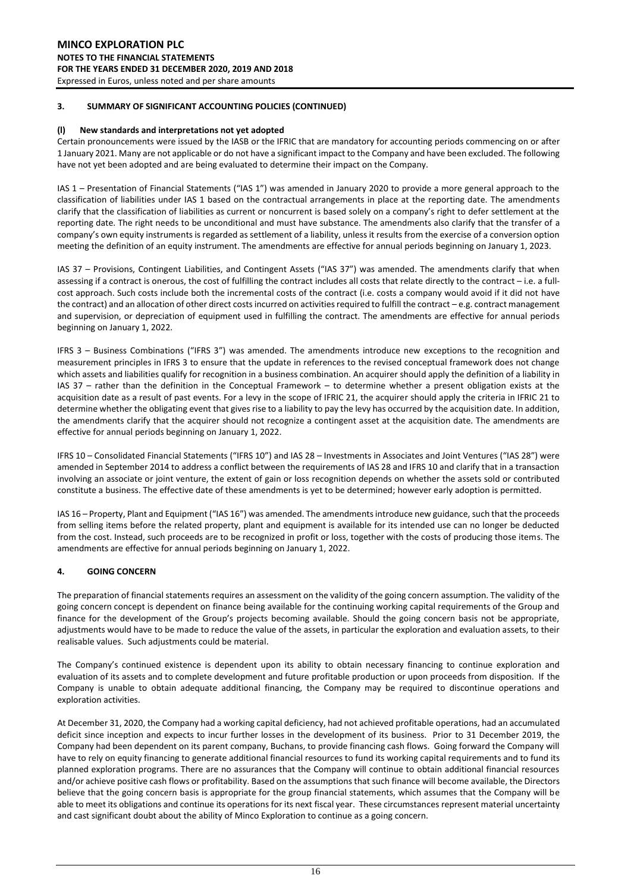#### **(l) New standards and interpretations not yet adopted**

Certain pronouncements were issued by the IASB or the IFRIC that are mandatory for accounting periods commencing on or after 1 January 2021. Many are not applicable or do not have a significant impact to the Company and have been excluded. The following have not yet been adopted and are being evaluated to determine their impact on the Company.

IAS 1 – Presentation of Financial Statements ("IAS 1") was amended in January 2020 to provide a more general approach to the classification of liabilities under IAS 1 based on the contractual arrangements in place at the reporting date. The amendments clarify that the classification of liabilities as current or noncurrent is based solely on a company's right to defer settlement at the reporting date. The right needs to be unconditional and must have substance. The amendments also clarify that the transfer of a company's own equity instruments is regarded as settlement of a liability, unless it results from the exercise of a conversion option meeting the definition of an equity instrument. The amendments are effective for annual periods beginning on January 1, 2023.

IAS 37 – Provisions, Contingent Liabilities, and Contingent Assets ("IAS 37") was amended. The amendments clarify that when assessing if a contract is onerous, the cost of fulfilling the contract includes all costs that relate directly to the contract – i.e. a fullcost approach. Such costs include both the incremental costs of the contract (i.e. costs a company would avoid if it did not have the contract) and an allocation of other direct costs incurred on activities required to fulfill the contract – e.g. contract management and supervision, or depreciation of equipment used in fulfilling the contract. The amendments are effective for annual periods beginning on January 1, 2022.

IFRS 3 – Business Combinations ("IFRS 3") was amended. The amendments introduce new exceptions to the recognition and measurement principles in IFRS 3 to ensure that the update in references to the revised conceptual framework does not change which assets and liabilities qualify for recognition in a business combination. An acquirer should apply the definition of a liability in IAS 37 – rather than the definition in the Conceptual Framework – to determine whether a present obligation exists at the acquisition date as a result of past events. For a levy in the scope of IFRIC 21, the acquirer should apply the criteria in IFRIC 21 to determine whether the obligating event that gives rise to a liability to pay the levy has occurred by the acquisition date. In addition, the amendments clarify that the acquirer should not recognize a contingent asset at the acquisition date. The amendments are effective for annual periods beginning on January 1, 2022.

IFRS 10 – Consolidated Financial Statements ("IFRS 10") and IAS 28 – Investments in Associates and Joint Ventures ("IAS 28") were amended in September 2014 to address a conflict between the requirements of IAS 28 and IFRS 10 and clarify that in a transaction involving an associate or joint venture, the extent of gain or loss recognition depends on whether the assets sold or contributed constitute a business. The effective date of these amendments is yet to be determined; however early adoption is permitted.

IAS 16 – Property, Plant and Equipment ("IAS 16") was amended. The amendments introduce new guidance, such that the proceeds from selling items before the related property, plant and equipment is available for its intended use can no longer be deducted from the cost. Instead, such proceeds are to be recognized in profit or loss, together with the costs of producing those items. The amendments are effective for annual periods beginning on January 1, 2022.

#### **4. GOING CONCERN**

The preparation of financial statements requires an assessment on the validity of the going concern assumption. The validity of the going concern concept is dependent on finance being available for the continuing working capital requirements of the Group and finance for the development of the Group's projects becoming available. Should the going concern basis not be appropriate, adjustments would have to be made to reduce the value of the assets, in particular the exploration and evaluation assets, to their realisable values. Such adjustments could be material.

The Company's continued existence is dependent upon its ability to obtain necessary financing to continue exploration and evaluation of its assets and to complete development and future profitable production or upon proceeds from disposition. If the Company is unable to obtain adequate additional financing, the Company may be required to discontinue operations and exploration activities.

At December 31, 2020, the Company had a working capital deficiency, had not achieved profitable operations, had an accumulated deficit since inception and expects to incur further losses in the development of its business. Prior to 31 December 2019, the Company had been dependent on its parent company, Buchans, to provide financing cash flows. Going forward the Company will have to rely on equity financing to generate additional financial resources to fund its working capital requirements and to fund its planned exploration programs. There are no assurances that the Company will continue to obtain additional financial resources and/or achieve positive cash flows or profitability. Based on the assumptions that such finance will become available, the Directors believe that the going concern basis is appropriate for the group financial statements, which assumes that the Company will be able to meet its obligations and continue its operations for its next fiscal year. These circumstances represent material uncertainty and cast significant doubt about the ability of Minco Exploration to continue as a going concern.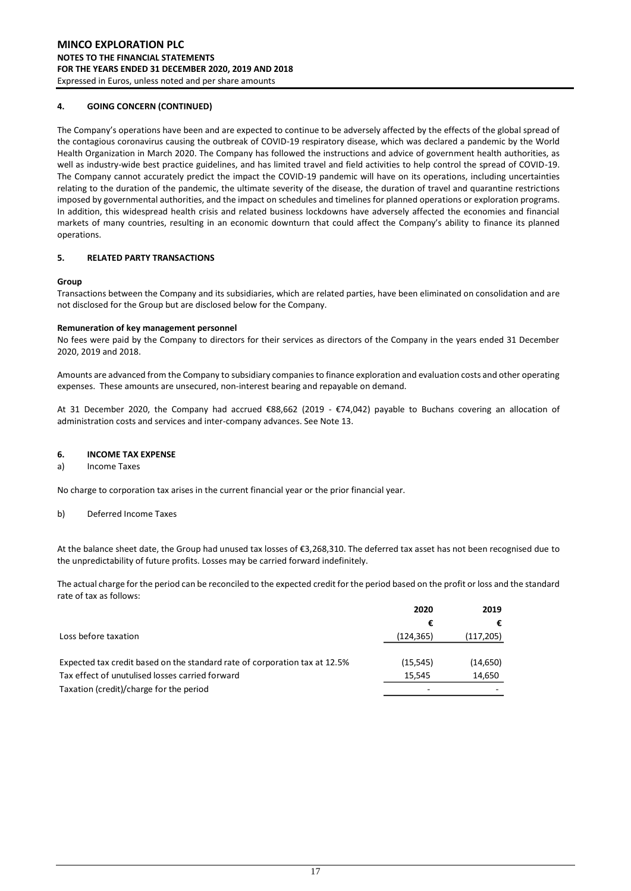#### **4. GOING CONCERN (CONTINUED)**

The Company's operations have been and are expected to continue to be adversely affected by the effects of the global spread of the contagious coronavirus causing the outbreak of COVID-19 respiratory disease, which was declared a pandemic by the World Health Organization in March 2020. The Company has followed the instructions and advice of government health authorities, as well as industry-wide best practice guidelines, and has limited travel and field activities to help control the spread of COVID-19. The Company cannot accurately predict the impact the COVID-19 pandemic will have on its operations, including uncertainties relating to the duration of the pandemic, the ultimate severity of the disease, the duration of travel and quarantine restrictions imposed by governmental authorities, and the impact on schedules and timelines for planned operations or exploration programs. In addition, this widespread health crisis and related business lockdowns have adversely affected the economies and financial markets of many countries, resulting in an economic downturn that could affect the Company's ability to finance its planned operations.

#### **5. RELATED PARTY TRANSACTIONS**

#### **Group**

Transactions between the Company and its subsidiaries, which are related parties, have been eliminated on consolidation and are not disclosed for the Group but are disclosed below for the Company.

#### **Remuneration of key management personnel**

No fees were paid by the Company to directors for their services as directors of the Company in the years ended 31 December 2020, 2019 and 2018.

Amounts are advanced from the Company to subsidiary companies to finance exploration and evaluation costs and other operating expenses. These amounts are unsecured, non-interest bearing and repayable on demand.

At 31 December 2020, the Company had accrued €88,662 (2019 - €74,042) payable to Buchans covering an allocation of administration costs and services and inter-company advances. See Note 13.

#### **6. INCOME TAX EXPENSE**

#### a) Income Taxes

No charge to corporation tax arises in the current financial year or the prior financial year.

#### b) Deferred Income Taxes

At the balance sheet date, the Group had unused tax losses of €3,268,310. The deferred tax asset has not been recognised due to the unpredictability of future profits. Losses may be carried forward indefinitely.

The actual charge for the period can be reconciled to the expected credit for the period based on the profit or loss and the standard rate of tax as follows:

|                                                                            | 2020      | 2019       |
|----------------------------------------------------------------------------|-----------|------------|
|                                                                            | €         |            |
| Loss before taxation                                                       | (124,365) | (117, 205) |
|                                                                            |           |            |
| Expected tax credit based on the standard rate of corporation tax at 12.5% | (15, 545) | (14, 650)  |
| Tax effect of unutulised losses carried forward                            | 15.545    | 14,650     |
| Taxation (credit)/charge for the period                                    |           |            |
|                                                                            |           |            |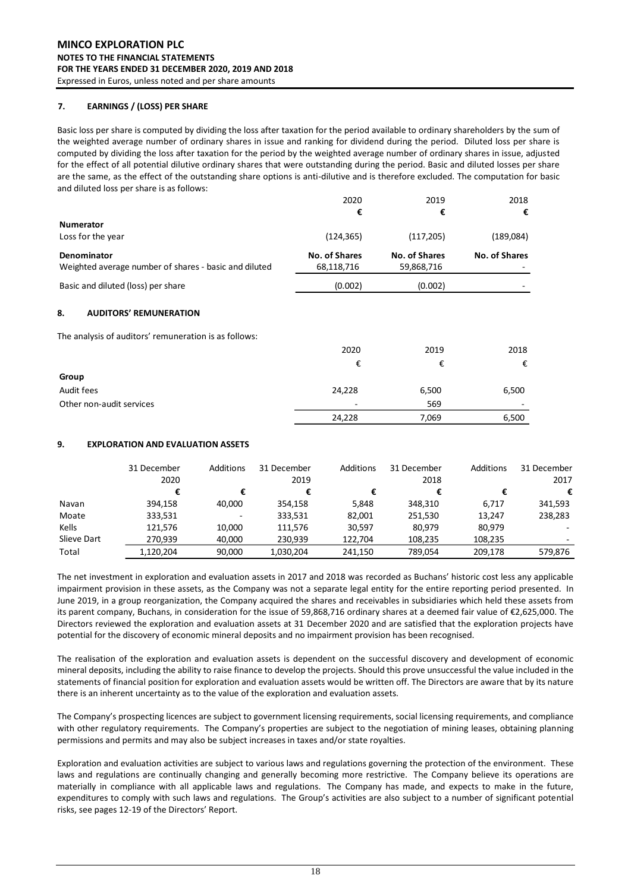#### **7. EARNINGS / (LOSS) PER SHARE**

Basic loss per share is computed by dividing the loss after taxation for the period available to ordinary shareholders by the sum of the weighted average number of ordinary shares in issue and ranking for dividend during the period. Diluted loss per share is computed by dividing the loss after taxation for the period by the weighted average number of ordinary shares in issue, adjusted for the effect of all potential dilutive ordinary shares that were outstanding during the period. Basic and diluted losses per share are the same, as the effect of the outstanding share options is anti-dilutive and is therefore excluded. The computation for basic and diluted loss per share is as follows:

|                                                       | 2020                 | 2019                 | 2018          |
|-------------------------------------------------------|----------------------|----------------------|---------------|
|                                                       | €                    | €                    | €             |
| <b>Numerator</b>                                      |                      |                      |               |
| Loss for the year                                     | (124, 365)           | (117, 205)           | (189,084)     |
| <b>Denominator</b>                                    | <b>No. of Shares</b> | <b>No. of Shares</b> | No. of Shares |
| Weighted average number of shares - basic and diluted | 68,118,716           | 59,868,716           |               |
| Basic and diluted (loss) per share                    | (0.002)              | (0.002)              |               |
| <b>AUDITORS' REMUNERATION</b><br>8.                   |                      |                      |               |
| The analysis of auditors' remuneration is as follows: |                      |                      |               |
|                                                       | 2020                 | 2019                 | 2018          |
|                                                       | €                    | €                    | €             |
| Group                                                 |                      |                      |               |
| Audit fees                                            | 24,228               | 6,500                | 6,500         |
| Other non-audit services                              |                      | 569                  |               |
|                                                       | 24,228               | 7,069                | 6,500         |

#### **9. EXPLORATION AND EVALUATION ASSETS**

|             | 31 December<br>2020 | Additions | 31 December<br>2019 | Additions | 31 December<br>2018 | Additions | 31 December<br>2017 |
|-------------|---------------------|-----------|---------------------|-----------|---------------------|-----------|---------------------|
|             |                     | €         | €                   | €         |                     | €         | €                   |
| Navan       | 394.158             | 40.000    | 354.158             | 5.848     | 348.310             | 6.717     | 341,593             |
| Moate       | 333,531             | -         | 333,531             | 82,001    | 251,530             | 13,247    | 238,283             |
| Kells       | 121.576             | 10.000    | 111,576             | 30.597    | 80.979              | 80.979    |                     |
| Slieve Dart | 270.939             | 40,000    | 230.939             | 122.704   | 108.235             | 108,235   |                     |
| Total       | 1.120.204           | 90.000    | 1.030.204           | 241,150   | 789.054             | 209.178   | 579,876             |

The net investment in exploration and evaluation assets in 2017 and 2018 was recorded as Buchans' historic cost less any applicable impairment provision in these assets, as the Company was not a separate legal entity for the entire reporting period presented. In June 2019, in a group reorganization, the Company acquired the shares and receivables in subsidiaries which held these assets from its parent company, Buchans, in consideration for the issue of 59,868,716 ordinary shares at a deemed fair value of €2,625,000. The Directors reviewed the exploration and evaluation assets at 31 December 2020 and are satisfied that the exploration projects have potential for the discovery of economic mineral deposits and no impairment provision has been recognised.

The realisation of the exploration and evaluation assets is dependent on the successful discovery and development of economic mineral deposits, including the ability to raise finance to develop the projects. Should this prove unsuccessful the value included in the statements of financial position for exploration and evaluation assets would be written off. The Directors are aware that by its nature there is an inherent uncertainty as to the value of the exploration and evaluation assets.

The Company's prospecting licences are subject to government licensing requirements, social licensing requirements, and compliance with other regulatory requirements. The Company's properties are subject to the negotiation of mining leases, obtaining planning permissions and permits and may also be subject increases in taxes and/or state royalties.

Exploration and evaluation activities are subject to various laws and regulations governing the protection of the environment. These laws and regulations are continually changing and generally becoming more restrictive. The Company believe its operations are materially in compliance with all applicable laws and regulations. The Company has made, and expects to make in the future, expenditures to comply with such laws and regulations. The Group's activities are also subject to a number of significant potential risks, see pages 12-19 of the Directors' Report.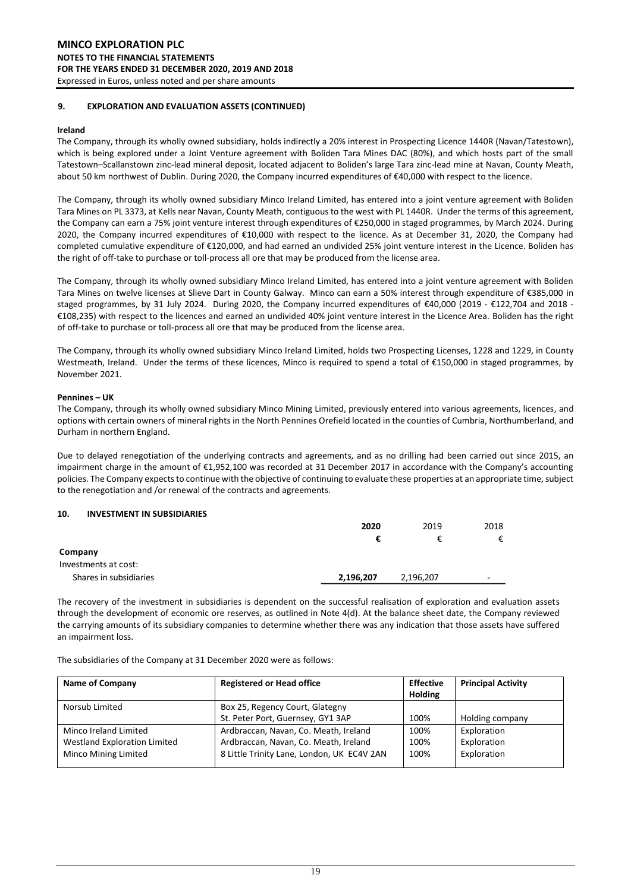#### **9. EXPLORATION AND EVALUATION ASSETS (CONTINUED)**

#### **Ireland**

The Company, through its wholly owned subsidiary, holds indirectly a 20% interest in Prospecting Licence 1440R (Navan/Tatestown), which is being explored under a Joint Venture agreement with Boliden Tara Mines DAC (80%), and which hosts part of the small Tatestown–Scallanstown zinc-lead mineral deposit, located adjacent to Boliden's large Tara zinc-lead mine at Navan, County Meath, about 50 km northwest of Dublin. During 2020, the Company incurred expenditures of €40,000 with respect to the licence.

The Company, through its wholly owned subsidiary Minco Ireland Limited, has entered into a joint venture agreement with Boliden Tara Mines on PL 3373, at Kells near Navan, County Meath, contiguous to the west with PL 1440R. Under the terms of this agreement, the Company can earn a 75% joint venture interest through expenditures of €250,000 in staged programmes, by March 2024. During 2020, the Company incurred expenditures of €10,000 with respect to the licence. As at December 31, 2020, the Company had completed cumulative expenditure of €120,000, and had earned an undivided 25% joint venture interest in the Licence. Boliden has the right of off-take to purchase or toll-process all ore that may be produced from the license area.

The Company, through its wholly owned subsidiary Minco Ireland Limited, has entered into a joint venture agreement with Boliden Tara Mines on twelve licenses at Slieve Dart in County Galway. Minco can earn a 50% interest through expenditure of €385,000 in staged programmes, by 31 July 2024. During 2020, the Company incurred expenditures of €40,000 (2019 - €122,704 and 2018 - €108,235) with respect to the licences and earned an undivided 40% joint venture interest in the Licence Area. Boliden has the right of off-take to purchase or toll-process all ore that may be produced from the license area.

The Company, through its wholly owned subsidiary Minco Ireland Limited, holds two Prospecting Licenses, 1228 and 1229, in County Westmeath, Ireland. Under the terms of these licences, Minco is required to spend a total of €150,000 in staged programmes, by November 2021.

#### **Pennines – UK**

The Company, through its wholly owned subsidiary Minco Mining Limited, previously entered into various agreements, licences, and options with certain owners of mineral rights in the North Pennines Orefield located in the counties of Cumbria, Northumberland, and Durham in northern England.

Due to delayed renegotiation of the underlying contracts and agreements, and as no drilling had been carried out since 2015, an impairment charge in the amount of €1,952,100 was recorded at 31 December 2017 in accordance with the Company's accounting policies. The Company expects to continue with the objective of continuing to evaluate these properties at an appropriate time, subject to the renegotiation and /or renewal of the contracts and agreements.

#### **10. INVESTMENT IN SUBSIDIARIES**

|                        | 2020      | 2019      | 2018                     |
|------------------------|-----------|-----------|--------------------------|
|                        |           |           | €                        |
| Company                |           |           |                          |
| Investments at cost:   |           |           |                          |
| Shares in subsidiaries | 2,196,207 | 2,196,207 | $\overline{\phantom{0}}$ |

The recovery of the investment in subsidiaries is dependent on the successful realisation of exploration and evaluation assets through the development of economic ore reserves, as outlined in Note 4(d). At the balance sheet date, the Company reviewed the carrying amounts of its subsidiary companies to determine whether there was any indication that those assets have suffered an impairment loss.

The subsidiaries of the Company at 31 December 2020 were as follows:

| <b>Name of Company</b>              | <b>Registered or Head office</b>           | <b>Effective</b><br><b>Holding</b> | <b>Principal Activity</b> |
|-------------------------------------|--------------------------------------------|------------------------------------|---------------------------|
| Norsub Limited                      | Box 25, Regency Court, Glategny            |                                    |                           |
|                                     | St. Peter Port, Guernsey, GY1 3AP          | 100%                               | Holding company           |
| Minco Ireland Limited               | Ardbraccan, Navan, Co. Meath, Ireland      | 100%                               | Exploration               |
| <b>Westland Exploration Limited</b> | Ardbraccan, Navan, Co. Meath, Ireland      | 100%                               | Exploration               |
| Minco Mining Limited                | 8 Little Trinity Lane, London, UK EC4V 2AN | 100%                               | Exploration               |
|                                     |                                            |                                    |                           |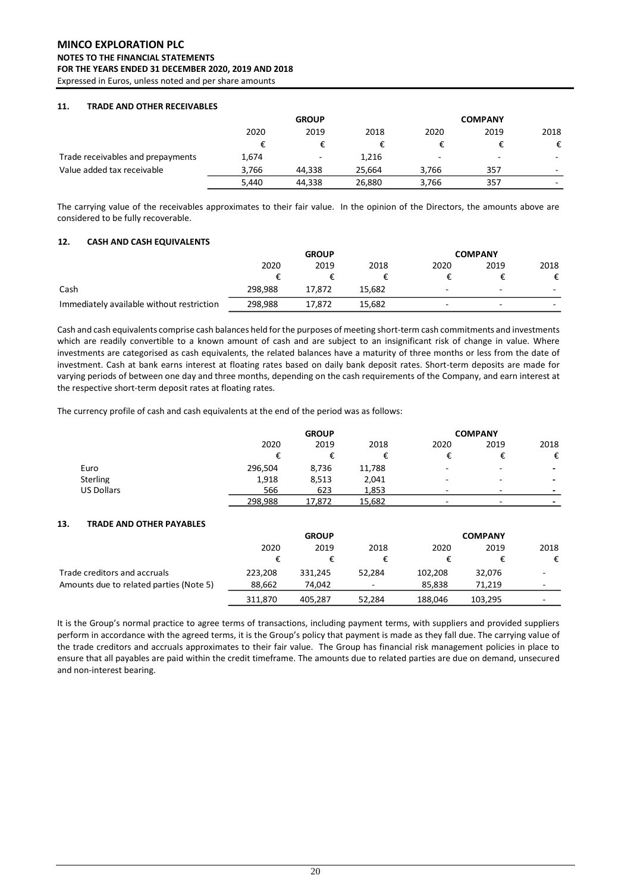# **MINCO EXPLORATION PLC NOTES TO THE FINANCIAL STATEMENTS FOR THE YEARS ENDED 31 DECEMBER 2020, 2019 AND 2018**

Expressed in Euros, unless noted and per share amounts

#### **11. TRADE AND OTHER RECEIVABLES**

|                                   | <b>GROUP</b> |                          |        | <b>COMPANY</b> |      |      |
|-----------------------------------|--------------|--------------------------|--------|----------------|------|------|
|                                   | 2020<br>2019 |                          | 2018   | 2020           | 2019 | 2018 |
|                                   |              |                          |        |                |      | €    |
| Trade receivables and prepayments | 1,674        | $\overline{\phantom{a}}$ | 1,216  | $\sim$         | -    | ۰    |
| Value added tax receivable        | 3.766        | 44.338                   | 25.664 | 3.766          | 357  | ۰    |
|                                   | 5,440        | 44,338                   | 26,880 | 3,766          | 357  | -    |

The carrying value of the receivables approximates to their fair value. In the opinion of the Directors, the amounts above are considered to be fully recoverable.

#### **12. CASH AND CASH EQUIVALENTS**

|                                           | <b>GROUP</b> |        |        | <b>COMPANY</b>           |                          |                          |
|-------------------------------------------|--------------|--------|--------|--------------------------|--------------------------|--------------------------|
|                                           | 2020         | 2019   | 2018   | 2020                     | 2019                     | 2018                     |
|                                           |              |        |        |                          |                          | €                        |
| Cash                                      | 298.988      | 17.872 | 15.682 | $\overline{\phantom{0}}$ | $\overline{\phantom{0}}$ | $\overline{\phantom{0}}$ |
| Immediately available without restriction | 298,988      | 17.872 | 15.682 | $\overline{\phantom{a}}$ | $\overline{\phantom{a}}$ | $\overline{\phantom{0}}$ |

Cash and cash equivalents comprise cash balances held for the purposes of meeting short-term cash commitments and investments which are readily convertible to a known amount of cash and are subject to an insignificant risk of change in value. Where investments are categorised as cash equivalents, the related balances have a maturity of three months or less from the date of investment. Cash at bank earns interest at floating rates based on daily bank deposit rates. Short-term deposits are made for varying periods of between one day and three months, depending on the cash requirements of the Company, and earn interest at the respective short-term deposit rates at floating rates.

The currency profile of cash and cash equivalents at the end of the period was as follows:

|                   |         | <b>GROUP</b> |        |      | <b>COMPANY</b>           |                          |  |
|-------------------|---------|--------------|--------|------|--------------------------|--------------------------|--|
|                   | 2020    | 2019         | 2018   | 2020 | 2019                     | 2018                     |  |
|                   |         |              | ŧ      |      |                          | €                        |  |
| Euro              | 296,504 | 8,736        | 11,788 | ۰.   | ۰                        | $\overline{\phantom{0}}$ |  |
| <b>Sterling</b>   | 1,918   | 8,513        | 2,041  |      | $\overline{\phantom{a}}$ | -                        |  |
| <b>US Dollars</b> | 566     | 623          | 1,853  | -    | -                        |                          |  |
|                   | 298,988 | 17,872       | 15,682 | -    | ۰                        | -                        |  |

#### **13. TRADE AND OTHER PAYABLES**

|                                         | <b>GROUP</b> |         |                          | <b>COMPANY</b> |         |      |
|-----------------------------------------|--------------|---------|--------------------------|----------------|---------|------|
|                                         | 2020         | 2019    | 2018                     | 2020           | 2019    | 2018 |
|                                         | €            |         |                          |                |         | €    |
| Trade creditors and accruals            | 223,208      | 331.245 | 52.284                   | 102.208        | 32,076  |      |
| Amounts due to related parties (Note 5) | 88.662       | 74.042  | $\overline{\phantom{0}}$ | 85.838         | 71.219  |      |
|                                         | 311.870      | 405.287 | 52,284                   | 188.046        | 103.295 |      |

It is the Group's normal practice to agree terms of transactions, including payment terms, with suppliers and provided suppliers perform in accordance with the agreed terms, it is the Group's policy that payment is made as they fall due. The carrying value of the trade creditors and accruals approximates to their fair value. The Group has financial risk management policies in place to ensure that all payables are paid within the credit timeframe. The amounts due to related parties are due on demand, unsecured and non-interest bearing.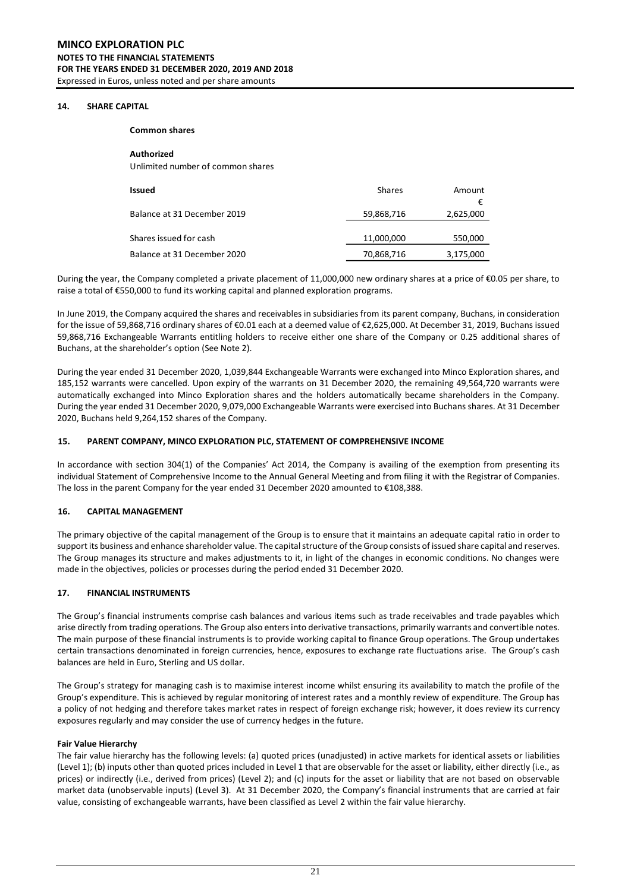#### **14. SHARE CAPITAL**

**Common shares**

**Authorized** Unlimited number of common shares

| Issued                      | <b>Shares</b> | Amount    |
|-----------------------------|---------------|-----------|
| Balance at 31 December 2019 | 59,868,716    | 2,625,000 |
| Shares issued for cash      | 11,000,000    | 550,000   |
| Balance at 31 December 2020 | 70,868,716    | 3,175,000 |

During the year, the Company completed a private placement of 11,000,000 new ordinary shares at a price of €0.05 per share, to raise a total of €550,000 to fund its working capital and planned exploration programs.

In June 2019, the Company acquired the shares and receivables in subsidiaries from its parent company, Buchans, in consideration for the issue of 59,868,716 ordinary shares of €0.01 each at a deemed value of €2,625,000. At December 31, 2019, Buchans issued 59,868,716 Exchangeable Warrants entitling holders to receive either one share of the Company or 0.25 additional shares of Buchans, at the shareholder's option (See Note 2).

During the year ended 31 December 2020, 1,039,844 Exchangeable Warrants were exchanged into Minco Exploration shares, and 185,152 warrants were cancelled. Upon expiry of the warrants on 31 December 2020, the remaining 49,564,720 warrants were automatically exchanged into Minco Exploration shares and the holders automatically became shareholders in the Company. During the year ended 31 December 2020, 9,079,000 Exchangeable Warrants were exercised into Buchans shares. At 31 December 2020, Buchans held 9,264,152 shares of the Company.

#### **15. PARENT COMPANY, MINCO EXPLORATION PLC, STATEMENT OF COMPREHENSIVE INCOME**

In accordance with section 304(1) of the Companies' Act 2014, the Company is availing of the exemption from presenting its individual Statement of Comprehensive Income to the Annual General Meeting and from filing it with the Registrar of Companies. The loss in the parent Company for the year ended 31 December 2020 amounted to €108,388.

#### **16. CAPITAL MANAGEMENT**

The primary objective of the capital management of the Group is to ensure that it maintains an adequate capital ratio in order to support its business and enhance shareholder value. The capital structure of the Group consists of issued share capital and reserves. The Group manages its structure and makes adjustments to it, in light of the changes in economic conditions. No changes were made in the objectives, policies or processes during the period ended 31 December 2020.

#### **17. FINANCIAL INSTRUMENTS**

The Group's financial instruments comprise cash balances and various items such as trade receivables and trade payables which arise directly from trading operations. The Group also enters into derivative transactions, primarily warrants and convertible notes. The main purpose of these financial instruments is to provide working capital to finance Group operations. The Group undertakes certain transactions denominated in foreign currencies, hence, exposures to exchange rate fluctuations arise. The Group's cash balances are held in Euro, Sterling and US dollar.

The Group's strategy for managing cash is to maximise interest income whilst ensuring its availability to match the profile of the Group's expenditure. This is achieved by regular monitoring of interest rates and a monthly review of expenditure. The Group has a policy of not hedging and therefore takes market rates in respect of foreign exchange risk; however, it does review its currency exposures regularly and may consider the use of currency hedges in the future.

#### **Fair Value Hierarchy**

The fair value hierarchy has the following levels: (a) quoted prices (unadjusted) in active markets for identical assets or liabilities (Level 1); (b) inputs other than quoted prices included in Level 1 that are observable for the asset or liability, either directly (i.e., as prices) or indirectly (i.e., derived from prices) (Level 2); and (c) inputs for the asset or liability that are not based on observable market data (unobservable inputs) (Level 3). At 31 December 2020, the Company's financial instruments that are carried at fair value, consisting of exchangeable warrants, have been classified as Level 2 within the fair value hierarchy.